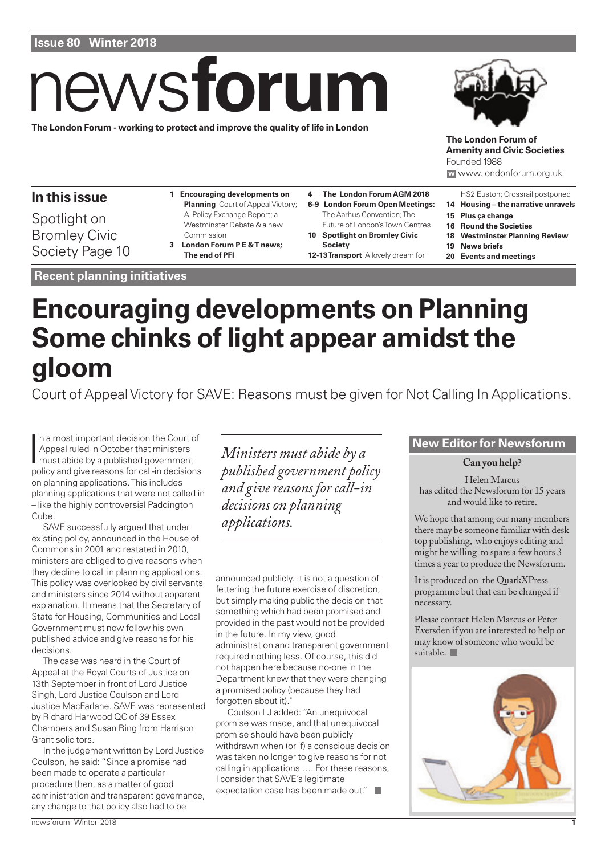# news **forum**

### **The London Forum - working to protect and improve the quality of life in London**



**The London Forum of Amenity and Civic Societies** Founded 1988 **w** www.londonforum.org.uk

HS2 Euston; Crossrail postponed **14 Housing – the narrative unravels**

# **In this issue**

Spotlight on Bromley Civic Society Page 10

- **1 Encouraging developments on Planning** Court of Appeal Victory; A Policy Exchange Report; a Westminster Debate & a new Commission **3 London Forum P E & T news;**
- **The end of PFI**
- **Recent planning initiatives**
- **4 The London Forum AGM 2018 6-9 London Forum Open Meetings:** The Aarhus Convention; The Future of London's Town Centres **10 Spotlight on Bromley Civic**
	- **Society 12-13 Transport** A lovely dream for
- **15 Plus ça change**
	- **16 Round the Societies**
	- **18 Westminster Planning Review**
	- **19 News briefs**
	- **20 Events and meetings**

# **Encouraging developments on Planning Some chinks of light appear amidst the gloom**

Court of Appeal Victory for SAVE: Reasons must be given for Not Calling In Applications.

In a most important decision the Court of<br>Appeal ruled in October that ministers<br>must abide by a published government<br>policy and give reasons for call-in decisions n a most important decision the Court of Appeal ruled in October that ministers must abide by a published government on planning applications. This includes planning applications that were not called in – like the highly controversial Paddington Cube.

SAVE successfully argued that under existing policy, announced in the House of Commons in 2001 and restated in 2010, ministers are obliged to give reasons when they decline to call in planning applications. This policy was overlooked by civil servants and ministers since 2014 without apparent explanation. It means that the Secretary of State for Housing, Communities and Local Government must now follow his own published advice and give reasons for his decisions.

The case was heard in the Court of Appeal at the Royal Courts of Justice on 13th September in front of Lord Justice Singh, Lord Justice Coulson and Lord Justice MacFarlane. SAVE was represented by Richard Harwood QC of 39 Essex Chambers and Susan Ring from Harrison Grant solicitors.

In the judgement written by Lord Justice Coulson, he said: "Since a promise had been made to operate a particular procedure then, as a matter of good administration and transparent governance, any change to that policy also had to be

**New Editor for Newsforum** *Ministers must abide by a published government policy and give reasons for call-in decisions on planning applications.*

announced publicly. It is not a question of fettering the future exercise of discretion, but simply making public the decision that something which had been promised and provided in the past would not be provided in the future. In my view, good administration and transparent government required nothing less. Of course, this did not happen here because no-one in the Department knew that they were changing a promised policy (because they had forgotten about it)."

Coulson LJ added: "An unequivocal promise was made, and that unequivocal promise should have been publicly withdrawn when (or if) a conscious decision was taken no longer to give reasons for not calling in applications …. For these reasons, I consider that SAVE's legitimate expectation case has been made out."

**Can you help?**

Helen Marcus has edited the Newsforum for 15 years and would like to retire.

We hope that among our many members there may be someone familiar with desk top publishing, who enjoys editing and might be willing to spare a few hours 3 times a year to produce the Newsforum.

It is produced on the QuarkXPress programme but that can be changed if necessary.

Please contact Helen Marcus or Peter Eversden if you are interested to help or may know of someone who would be suitable.

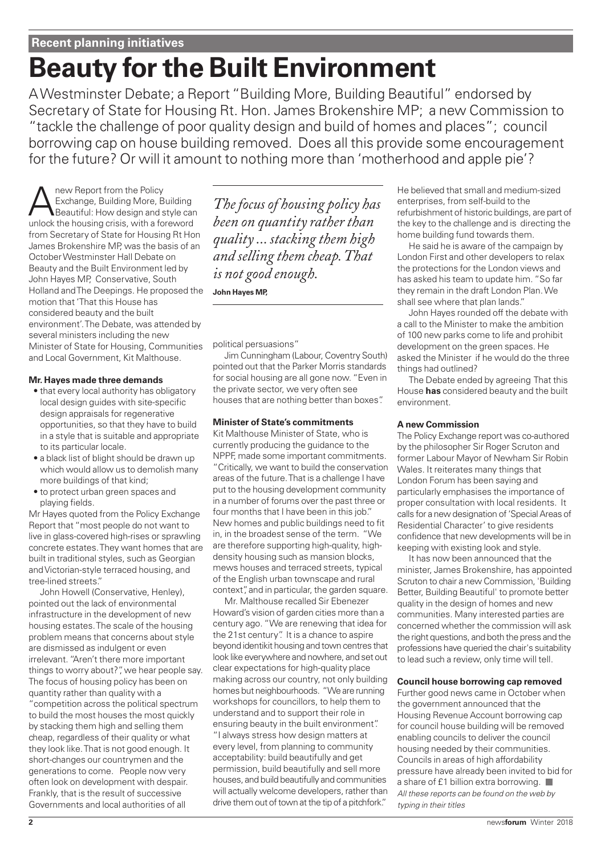# **Beauty for the Built Environment**

A Westminster Debate; a Report "Building More, Building Beautiful" endorsed by Secretary of State for Housing Rt. Hon. James Brokenshire MP; a new Commission to "tackle the challenge of poor quality design and build of homes and places"; council borrowing cap on house building removed. Does all this provide some encouragement for the future? Or will it amount to nothing more than 'motherhood and apple pie'?

**ANEXA ANGLE THE POLICY EXCHANGE PROPERTY AND REPORT AND REPORT OF A SEX ANGLE THE POLICY BEAUTIFUL ASSESS**<br>
Beautiful: How design and style can Exchange, Building More, Building unlock the housing crisis, with a foreword from Secretary of State for Housing Rt Hon James Brokenshire MP, was the basis of an October Westminster Hall Debate on Beauty and the Built Environment led by John Hayes MP, Conservative, South Holland and The Deepings. He proposed the motion that 'That this House has considered beauty and the built environment'. The Debate, was attended by several ministers including the new Minister of State for Housing, Communities and Local Government, Kit Malthouse.

#### **Mr. Hayes made three demands**

- that every local authority has obligatory local design guides with site-specific design appraisals for regenerative opportunities, so that they have to build in a style that is suitable and appropriate to its particular locale.
- a black list of blight should be drawn up which would allow us to demolish many more buildings of that kind;
- to protect urban green spaces and playing fields.

Mr Hayes quoted from the Policy Exchange Report that "most people do not want to live in glass-covered high-rises or sprawling concrete estates. They want homes that are built in traditional styles, such as Georgian and Victorian-style terraced housing, and tree-lined streets."

John Howell (Conservative, Henley), pointed out the lack of environmental infrastructure in the development of new housing estates. The scale of the housing problem means that concerns about style are dismissed as indulgent or even irrelevant. "Aren't there more important things to worry about?", we hear people say. The focus of housing policy has been on quantity rather than quality with a "competition across the political spectrum to build the most houses the most quickly by stacking them high and selling them cheap, regardless of their quality or what

they look like. That is not good enough. It short-changes our countrymen and the generations to come. People now very often look on development with despair. Frankly, that is the result of successive Governments and local authorities of all

*The focus of housing policy has been on quantity rather than quality ... stacking them high and selling them cheap.That is not good enough.*

**John Hayes MP,**

political persuasions"

Jim Cunningham (Labour, Coventry South) pointed out that the Parker Morris standards for social housing are all gone now. "Even in the private sector, we very often see houses that are nothing better than boxes".

#### **Minister of State's commitments**

Kit Malthouse Minister of State, who is currently producing the guidance to the NPPF, made some important commitments. "Critically, we want to build the conservation areas of the future. That is a challenge I have put to the housing development community in a number of forums over the past three or four months that I have been in this job." New homes and public buildings need to fit in, in the broadest sense of the term. "We are therefore supporting high-quality, highdensity housing such as mansion blocks, mews houses and terraced streets, typical of the English urban townscape and rural context", and in particular, the garden square.

Mr. Malthouse recalled Sir Ebenezer Howard's vision of garden cities more than a century ago. "We are renewing that idea for the 21st century". It is a chance to aspire beyond identikit housing and town centres that look like everywhere and nowhere, and set out clear expectations for high-quality place making across our country, not only building homes but neighbourhoods. "We are running workshops for councillors, to help them to understand and to support their role in ensuring beauty in the built environment". "I always stress how design matters at every level, from planning to community acceptability: build beautifully and get permission, build beautifully and sell more houses, and build beautifully and communities will actually welcome developers, rather than drive them out of town at the tip of a pitchfork."

He believed that small and medium-sized enterprises, from self-build to the refurbishment of historic buildings, are part of the key to the challenge and is directing the home building fund towards them.

He said he is aware of the campaign by London First and other developers to relax the protections for the London views and has asked his team to update him. "So far they remain in the draft London Plan. We shall see where that plan lands."

John Hayes rounded off the debate with a call to the Minister to make the ambition of 100 new parks come to life and prohibit development on the green spaces. He asked the Minister if he would do the three things had outlined?

The Debate ended by agreeing That this House **has** considered beauty and the built environment.

#### **A new Commission**

The Policy Exchange report was co-authored by the philosopher Sir Roger Scruton and former Labour Mayor of Newham Sir Robin Wales. It reiterates many things that London Forum has been saying and particularly emphasises the importance of proper consultation with local residents. It calls for a new designation of 'Special Areas of Residential Character' to give residents confidence that new developments will be in keeping with existing look and style.

It has now been announced that the minister, James Brokenshire, has appointed Scruton to chair a new Commission, 'Building Better, Building Beautiful' to promote better quality in the design of homes and new communities. Many interested parties are concerned whether the commission will ask the right questions, and both the press and the professions have queried the chair's suitability to lead such a review, only time will tell.

#### **Council house borrowing cap removed**

Further good news came in October when the government announced that the Housing Revenue Account borrowing cap for council house building will be removed enabling councils to deliver the council housing needed by their communities. Councils in areas of high affordability pressure have already been invited to bid for a share of £1 billion extra borrowing. All these reports can be found on the web by typing in their titles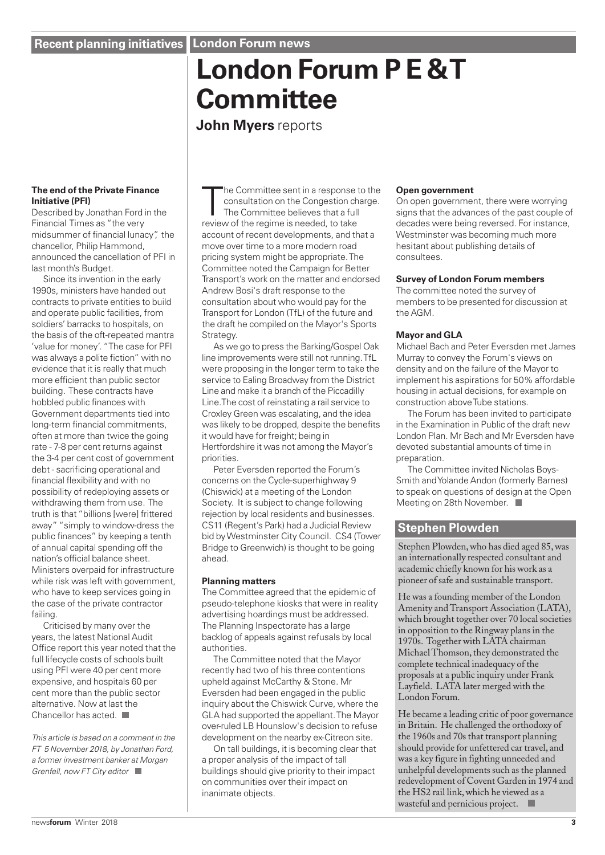# **London Forum P E & T Committee**

**John Myers** reports

#### **The end of the Private Finance Initiative (PFI)**

Described by Jonathan Ford in the Financial Times as "the very midsummer of financial lunacy", the chancellor, Philip Hammond, announced the cancellation of PFI in last month's Budget.

Since its invention in the early 1990s, ministers have handed out contracts to private entities to build and operate public facilities, from soldiers' barracks to hospitals, on the basis of the oft-repeated mantra 'value for money'. "The case for PFI was always a polite fiction" with no evidence that it is really that much more efficient than public sector building. These contracts have hobbled public finances with Government departments tied into long-term financial commitments, often at more than twice the going rate - 7-8 per cent returns against the 3-4 per cent cost of government debt - sacrificing operational and financial flexibility and with no possibility of redeploying assets or withdrawing them from use. The truth is that "billions [were] frittered away" "simply to window-dress the public finances" by keeping a tenth of annual capital spending off the nation's official balance sheet. Ministers overpaid for infrastructure while risk was left with government. who have to keep services going in the case of the private contractor failing.

Criticised by many over the years, the latest National Audit Office report this year noted that the full lifecycle costs of schools built using PFI were 40 per cent more expensive, and hospitals 60 per cent more than the public sector alternative. Now at last the Chancellor has acted.

This article is based on a comment in the FT 5 November 2018, by Jonathan Ford, a former investment banker at Morgan Grenfell, now FT City editor

The Committee sent in a response<br>consultation on the Congestion ch<br>The Committee believes that a ful<br>review of the regime is needed, to take he Committee sent in a response to the consultation on the Congestion charge. The Committee believes that a full account of recent developments, and that a move over time to a more modern road pricing system might be appropriate. The Committee noted the Campaign for Better Transport's work on the matter and endorsed Andrew Bosi's draft response to the consultation about who would pay for the Transport for London (TfL) of the future and the draft he compiled on the Mayor's Sports Strategy.

As we go to press the Barking/Gospel Oak line improvements were still not running. TfL were proposing in the longer term to take the service to Ealing Broadway from the District Line and make it a branch of the Piccadilly Line.The cost of reinstating a rail service to Croxley Green was escalating, and the idea was likely to be dropped, despite the benefits it would have for freight; being in Hertfordshire it was not among the Mayor's priorities.

Peter Eversden reported the Forum's concerns on the Cycle-superhighway 9 (Chiswick) at a meeting of the London Society. It is subject to change following rejection by local residents and businesses. CS11 (Regent's Park) had a Judicial Review bid by Westminster City Council. CS4 (Tower Bridge to Greenwich) is thought to be going ahead.

#### **Planning matters**

The Committee agreed that the epidemic of pseudo-telephone kiosks that were in reality advertising hoardings must be addressed. The Planning Inspectorate has a large backlog of appeals against refusals by local authorities.

The Committee noted that the Mayor recently had two of his three contentions upheld against McCarthy & Stone. Mr Eversden had been engaged in the public inquiry about the Chiswick Curve, where the GLA had supported the appellant. The Mayor over-ruled LB Hounslow's decision to refuse development on the nearby ex-Citreon site.

On tall buildings, it is becoming clear that a proper analysis of the impact of tall buildings should give priority to their impact on communities over their impact on inanimate objects.

#### **Open government**

On open government, there were worrying signs that the advances of the past couple of decades were being reversed. For instance, Westminster was becoming much more hesitant about publishing details of consultees.

#### **Survey of London Forum members**

The committee noted the survey of members to be presented for discussion at the AGM.

#### **Mayor and GLA**

Michael Bach and Peter Eversden met James Murray to convey the Forum's views on density and on the failure of the Mayor to implement his aspirations for 50% affordable housing in actual decisions, for example on construction above Tube stations.

The Forum has been invited to participate in the Examination in Public of the draft new London Plan. Mr Bach and Mr Eversden have devoted substantial amounts of time in preparation.

The Committee invited Nicholas Boys-Smith and Yolande Andon (formerly Barnes) to speak on questions of design at the Open Meeting on 28th November.

### **Stephen Plowden**

Stephen Plowden, who has died aged 85, was an internationally respected consultant and academic chiefly known for his work as a pioneer of safe and sustainable transport.

He was a founding member of the London Amenity and Transport Association (LATA), which brought together over 70 local societies in opposition to the Ringway plans in the 1970s. Together with LATA chairman Michael Thomson, they demonstrated the complete technical inadequacy of the proposals at a public inquiry under Frank Layfield. LATA later merged with the London Forum.

He became a leading critic of poor governance in Britain. He challenged the orthodoxy of the 1960s and 70s that transport planning should provide for unfettered car travel, and was a key figure in fighting unneeded and unhelpful developments such as the planned redevelopment of Covent Garden in 1974 and the HS2 rail link, which he viewed as a wasteful and pernicious project.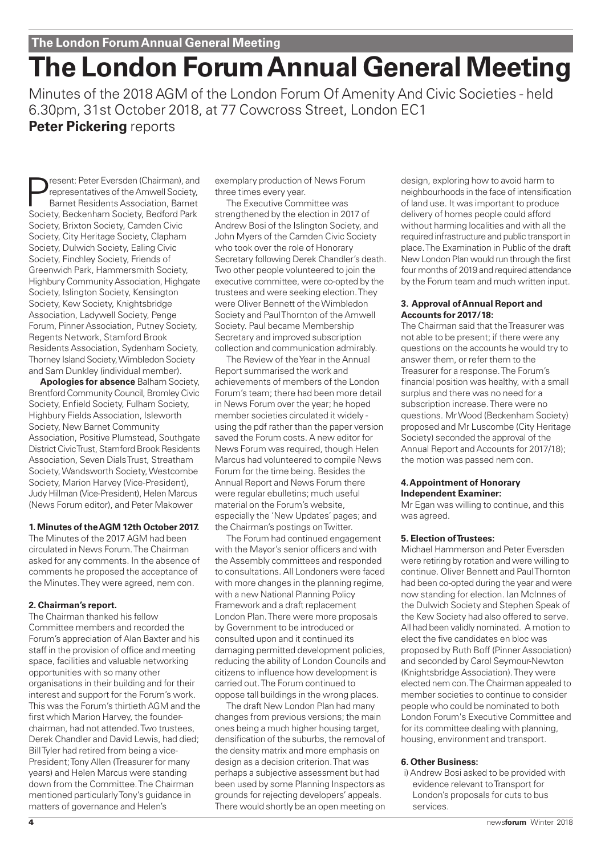# **The London Forum Annual General Meeting**

Minutes of the 2018 AGM of the London Forum Of Amenity And Civic Societies - held 6.30pm, 31st October 2018, at 77 Cowcross Street, London EC1 **Peter Pickering** reports

Present: Peter Eversden (Chairman), and<br>representatives of the Amwell Society,<br>Barnet Residents Association, Barnet<br>Society, Bockenbarn Society, Bodford Park representatives of the Amwell Society, Barnet Residents Association, Barnet Society, Beckenham Society, Bedford Park Society, Brixton Society, Camden Civic Society, City Heritage Society, Clapham Society, Dulwich Society, Ealing Civic Society, Finchley Society, Friends of Greenwich Park, Hammersmith Society, Highbury Community Association, Highgate Society, Islington Society, Kensington Society, Kew Society, Knightsbridge Association, Ladywell Society, Penge Forum, Pinner Association, Putney Society, Regents Network, Stamford Brook Residents Association, Sydenham Society, Thorney Island Society, Wimbledon Society and Sam Dunkley (individual member).

**Apologies for absence** Balham Society, Brentford Community Council, Bromley Civic Society, Enfield Society, Fulham Society, Highbury Fields Association, Isleworth Society, New Barnet Community Association, Positive Plumstead, Southgate District Civic Trust, Stamford Brook Residents Association, Seven Dials Trust, Streatham Society, Wandsworth Society, Westcombe Society, Marion Harvey (Vice-President), Judy Hillman (Vice-President), Helen Marcus (News Forum editor), and Peter Makower

#### **1. Minutes of the AGM 12th October 2017.**

The Minutes of the 2017 AGM had been circulated in News Forum. The Chairman asked for any comments. In the absence of comments he proposed the acceptance of the Minutes. They were agreed, nem con.

#### **2. Chairman's report.**

The Chairman thanked his fellow Committee members and recorded the Forum's appreciation of Alan Baxter and his staff in the provision of office and meeting space, facilities and valuable networking opportunities with so many other organisations in their building and for their interest and support for the Forum's work. This was the Forum's thirtieth AGM and the first which Marion Harvey, the founderchairman, had not attended. Two trustees, Derek Chandler and David Lewis, had died; Bill Tyler had retired from being a vice-President; Tony Allen (Treasurer for many years) and Helen Marcus were standing down from the Committee. The Chairman mentioned particularly Tony's guidance in matters of governance and Helen's

exemplary production of News Forum three times every year.

The Executive Committee was strengthened by the election in 2017 of Andrew Bosi of the Islington Society, and John Myers of the Camden Civic Society who took over the role of Honorary Secretary following Derek Chandler's death. Two other people volunteered to join the executive committee, were co-opted by the trustees and were seeking election. They were Oliver Bennett of the Wimbledon Society and Paul Thornton of the Amwell Society. Paul became Membership Secretary and improved subscription collection and communication admirably.

The Review of the Year in the Annual Report summarised the work and achievements of members of the London Forum's team; there had been more detail in News Forum over the year; he hoped member societies circulated it widely using the pdf rather than the paper version saved the Forum costs. A new editor for News Forum was required, though Helen Marcus had volunteered to compile News Forum for the time being. Besides the Annual Report and News Forum there were regular ebulletins; much useful material on the Forum's website, especially the 'New Updates' pages; and the Chairman's postings on Twitter.

The Forum had continued engagement with the Mayor's senior officers and with the Assembly committees and responded to consultations. All Londoners were faced with more changes in the planning regime, with a new National Planning Policy Framework and a draft replacement London Plan. There were more proposals by Government to be introduced or consulted upon and it continued its damaging permitted development policies, reducing the ability of London Councils and citizens to influence how development is carried out. The Forum continued to oppose tall buildings in the wrong places.

The draft New London Plan had many changes from previous versions; the main ones being a much higher housing target, densification of the suburbs, the removal of the density matrix and more emphasis on design as a decision criterion. That was perhaps a subjective assessment but had been used by some Planning Inspectors as grounds for rejecting developers' appeals. There would shortly be an open meeting on design, exploring how to avoid harm to neighbourhoods in the face of intensification of land use. It was important to produce delivery of homes people could afford without harming localities and with all the required infrastructure and public transport in place. The Examination in Public of the draft New London Plan would run through the first four months of 2019 and required attendance by the Forum team and much written input.

#### **3. Approval of Annual Report and Accounts for 2017/18:**

The Chairman said that the Treasurer was not able to be present; if there were any questions on the accounts he would try to answer them, or refer them to the Treasurer for a response. The Forum's financial position was healthy, with a small surplus and there was no need for a subscription increase. There were no questions. Mr Wood (Beckenham Society) proposed and Mr Luscombe (City Heritage Society) seconded the approval of the Annual Report and Accounts for 2017/18); the motion was passed nem con.

#### **4.Appointment of Honorary Independent Examiner:**

Mr Egan was willing to continue, and this was agreed.

#### **5. Election of Trustees:**

Michael Hammerson and Peter Eversden were retiring by rotation and were willing to continue. Oliver Bennett and Paul Thornton had been co-opted during the year and were now standing for election. Ian McInnes of the Dulwich Society and Stephen Speak of the Kew Society had also offered to serve. All had been validly nominated. A motion to elect the five candidates en bloc was proposed by Ruth Boff (Pinner Association) and seconded by Carol Seymour-Newton (Knightsbridge Association). They were elected nem con. The Chairman appealed to member societies to continue to consider people who could be nominated to both London Forum's Executive Committee and for its committee dealing with planning, housing, environment and transport.

#### **6. Other Business:**

i) Andrew Bosi asked to be provided with evidence relevant to Transport for London's proposals for cuts to bus services.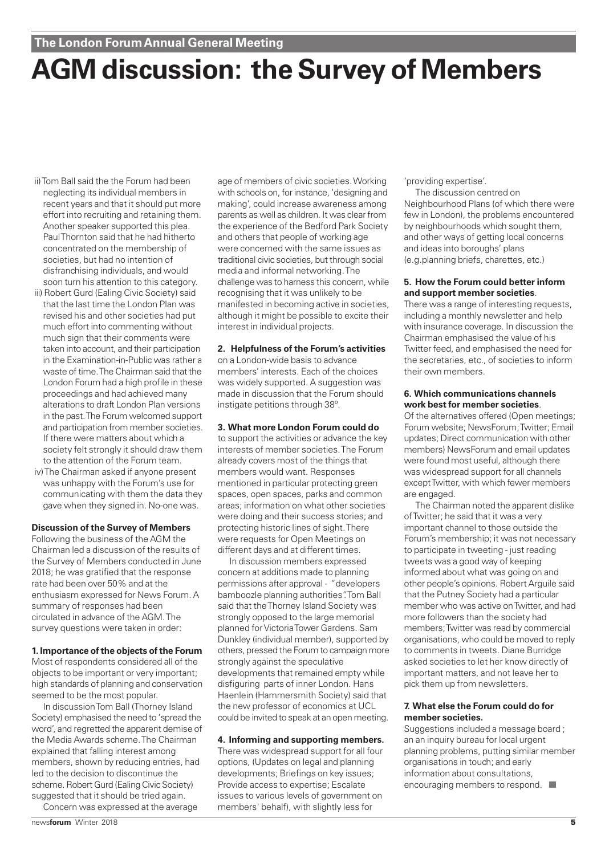**The London Forum Annual General Meeting** 

# **AGM discussion: the Survey of Members**

- ii) Tom Ball said the the Forum had been neglecting its individual members in recent years and that it should put more effort into recruiting and retaining them. Another speaker supported this plea. Paul Thornton said that he had hitherto concentrated on the membership of societies, but had no intention of disfranchising individuals, and would soon turn his attention to this category.
- iii) Robert Gurd (Ealing Civic Society) said that the last time the London Plan was revised his and other societies had put much effort into commenting without much sign that their comments were taken into account, and their participation in the Examination-in-Public was rather a waste of time. The Chairman said that the London Forum had a high profile in these proceedings and had achieved many alterations to draft London Plan versions in the past. The Forum welcomed support and participation from member societies. If there were matters about which a society felt strongly it should draw them to the attention of the Forum team.
- iv) The Chairman asked if anyone present was unhappy with the Forum's use for communicating with them the data they gave when they signed in. No-one was.

#### **Discussion of the Survey of Members**

Following the business of the AGM the Chairman led a discussion of the results of the Survey of Members conducted in June 2018; he was gratified that the response rate had been over 50% and at the enthusiasm expressed for News Forum. A summary of responses had been circulated in advance of the AGM. The survey questions were taken in order:

#### **1. Importance of the objects of the Forum**

Most of respondents considered all of the objects to be important or very important; high standards of planning and conservation seemed to be the most popular.

In discussion Tom Ball (Thorney Island Society) emphasised the need to 'spread the word', and regretted the apparent demise of the Media Awards scheme. The Chairman explained that falling interest among members, shown by reducing entries, had led to the decision to discontinue the scheme. Robert Gurd (Ealing Civic Society) suggested that it should be tried again.

Concern was expressed at the average

age of members of civic societies. Working with schools on, for instance, 'designing and making', could increase awareness among parents as well as children. It was clear from the experience of the Bedford Park Society and others that people of working age were concerned with the same issues as traditional civic societies, but through social media and informal networking. The challenge was to harness this concern, while recognising that it was unlikely to be manifested in becoming active in societies, although it might be possible to excite their interest in individual projects.

#### **2. Helpfulness of the Forum's activities**

on a London-wide basis to advance members' interests. Each of the choices was widely supported. A suggestion was made in discussion that the Forum should instigate petitions through 38º.

#### **3. What more London Forum could do**

to support the activities or advance the key interests of member societies. The Forum already covers most of the things that members would want. Responses mentioned in particular protecting green spaces, open spaces, parks and common areas; information on what other societies were doing and their success stories; and protecting historic lines of sight. There were requests for Open Meetings on different days and at different times.

In discussion members expressed concern at additions made to planning permissions after approval - "developers bamboozle planning authorities". Tom Ball said that the Thorney Island Society was strongly opposed to the large memorial planned for Victoria Tower Gardens. Sam Dunkley (individual member), supported by others, pressed the Forum to campaign more strongly against the speculative developments that remained empty while disfiguring parts of inner London. Hans Haenlein (Hammersmith Society) said that the new professor of economics at UCL could be invited to speak at an open meeting.

#### **4. Informing and supporting members.**

There was widespread support for all four options, (Updates on legal and planning developments; Briefings on key issues; Provide access to expertise; Escalate issues to various levels of government on members' behalf), with slightly less for

'providing expertise'.

The discussion centred on Neighbourhood Plans (of which there were few in London), the problems encountered by neighbourhoods which sought them, and other ways of getting local concerns and ideas into boroughs' plans (e.g.planning briefs, charettes, etc.)

#### **5. How the Forum could better inform and support member societies**.

There was a range of interesting requests, including a monthly newsletter and help with insurance coverage. In discussion the Chairman emphasised the value of his Twitter feed, and emphasised the need for the secretaries, etc., of societies to inform their own members.

#### **6. Which communications channels work best for member societies**.

Of the alternatives offered (Open meetings; Forum website; NewsForum; Twitter; Email updates; Direct communication with other members) NewsForum and email updates were found most useful, although there was widespread support for all channels except Twitter, with which fewer members are engaged.

The Chairman noted the apparent dislike of Twitter; he said that it was a very important channel to those outside the Forum's membership; it was not necessary to participate in tweeting - just reading tweets was a good way of keeping informed about what was going on and other people's opinions. Robert Arguile said that the Putney Society had a particular member who was active on Twitter, and had more followers than the society had members; Twitter was read by commercial organisations, who could be moved to reply to comments in tweets. Diane Burridge asked societies to let her know directly of important matters, and not leave her to pick them up from newsletters.

#### **7. What else the Forum could do for member societies.**

Suggestions included a message board : an an inquiry bureau for local urgent planning problems, putting similar member organisations in touch; and early information about consultations, encouraging members to respond.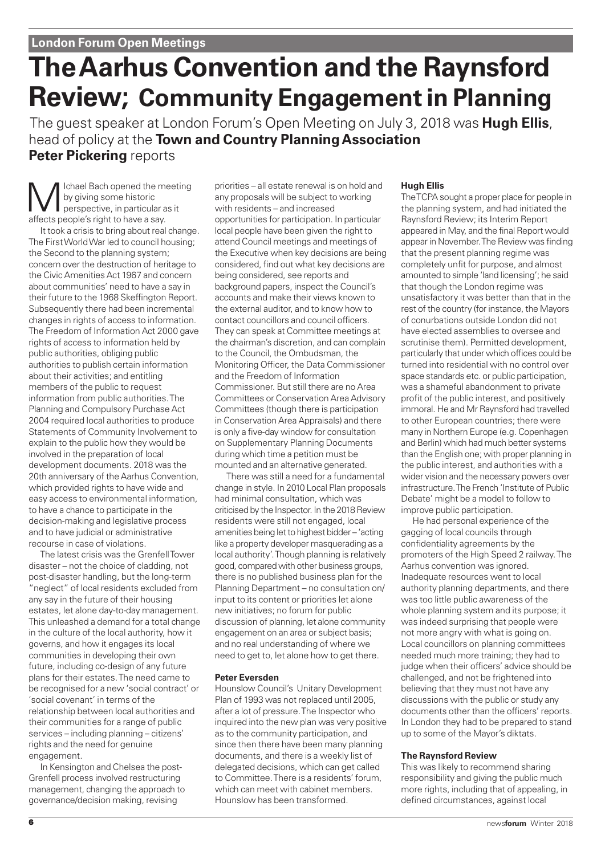# **The Aarhus Convention and the Raynsford Review; Community Engagement in Planning**

The guest speaker at London Forum's Open Meeting on July 3, 2018 was **Hugh Ellis**, head of policy at the **Town and Country Planning Association Peter Pickering** reports

Ichael Bach opened the meeting by giving some historic perspective, in particular as it affects people's right to have a say.

It took a crisis to bring about real change. The First World War led to council housing; the Second to the planning system; concern over the destruction of heritage to the Civic Amenities Act 1967 and concern about communities' need to have a say in their future to the 1968 Skeffington Report. Subsequently there had been incremental changes in rights of access to information. The Freedom of Information Act 2000 gave rights of access to information held by public authorities, obliging public authorities to publish certain information about their activities; and entitling members of the public to request information from public authorities. The Planning and Compulsory Purchase Act 2004 required local authorities to produce Statements of Community Involvement to explain to the public how they would be involved in the preparation of local development documents. 2018 was the 20th anniversary of the Aarhus Convention, which provided rights to have wide and easy access to environmental information, to have a chance to participate in the decision-making and legislative process and to have judicial or administrative recourse in case of violations.

The latest crisis was the Grenfell Tower disaster – not the choice of cladding, not post-disaster handling, but the long-term "neglect" of local residents excluded from any say in the future of their housing estates, let alone day-to-day management. This unleashed a demand for a total change in the culture of the local authority, how it governs, and how it engages its local communities in developing their own future, including co-design of any future plans for their estates. The need came to be recognised for a new 'social contract' or 'social covenant' in terms of the relationship between local authorities and their communities for a range of public services – including planning – citizens' rights and the need for genuine engagement.

In Kensington and Chelsea the post-Grenfell process involved restructuring management, changing the approach to governance/decision making, revising

priorities – all estate renewal is on hold and any proposals will be subject to working with residents – and increased opportunities for participation. In particular local people have been given the right to attend Council meetings and meetings of the Executive when key decisions are being considered, find out what key decisions are being considered, see reports and background papers, inspect the Council's accounts and make their views known to the external auditor, and to know how to contact councillors and council officers. They can speak at Committee meetings at the chairman's discretion, and can complain to the Council, the Ombudsman, the Monitoring Officer, the Data Commissioner and the Freedom of Information Commissioner. But still there are no Area Committees or Conservation Area Advisory Committees (though there is participation in Conservation Area Appraisals) and there is only a five-day window for consultation on Supplementary Planning Documents during which time a petition must be mounted and an alternative generated.

There was still a need for a fundamental change in style. In 2010 Local Plan proposals had minimal consultation, which was criticised by the Inspector. In the 2018 Review residents were still not engaged, local amenities being let to highest bidder – 'acting like a property developer masquerading as a local authority'. Though planning is relatively good, compared with other business groups, there is no published business plan for the Planning Department – no consultation on/ input to its content or priorities let alone new initiatives; no forum for public discussion of planning, let alone community engagement on an area or subject basis; and no real understanding of where we need to get to, let alone how to get there.

#### **Peter Eversden**

Hounslow Council's Unitary Development Plan of 1993 was not replaced until 2005, after a lot of pressure. The Inspector who inquired into the new plan was very positive as to the community participation, and since then there have been many planning documents, and there is a weekly list of delegated decisions, which can get called to Committee. There is a residents' forum, which can meet with cabinet members. Hounslow has been transformed.

#### **Hugh Ellis**

The TCPA sought a proper place for people in the planning system, and had initiated the Raynsford Review; its Interim Report appeared in May, and the final Report would appear in November. The Review was finding that the present planning regime was completely unfit for purpose, and almost amounted to simple 'land licensing'; he said that though the London regime was unsatisfactory it was better than that in the rest of the country (for instance, the Mayors of conurbations outside London did not have elected assemblies to oversee and scrutinise them). Permitted development, particularly that under which offices could be turned into residential with no control over space standards etc. or public participation, was a shameful abandonment to private profit of the public interest, and positively immoral. He and Mr Raynsford had travelled to other European countries; there were many in Northern Europe (e.g. Copenhagen and Berlin) which had much better systems than the English one; with proper planning in the public interest, and authorities with a wider vision and the necessary powers over infrastructure. The French 'Institute of Public Debate' might be a model to follow to improve public participation.

He had personal experience of the gagging of local councils through confidentiality agreements by the promoters of the High Speed 2 railway. The Aarhus convention was ignored. Inadequate resources went to local authority planning departments, and there was too little public awareness of the whole planning system and its purpose; it was indeed surprising that people were not more angry with what is going on. Local councillors on planning committees needed much more training; they had to judge when their officers' advice should be challenged, and not be frightened into believing that they must not have any discussions with the public or study any documents other than the officers' reports. In London they had to be prepared to stand up to some of the Mayor's diktats.

#### **The Raynsford Review**

This was likely to recommend sharing responsibility and giving the public much more rights, including that of appealing, in defined circumstances, against local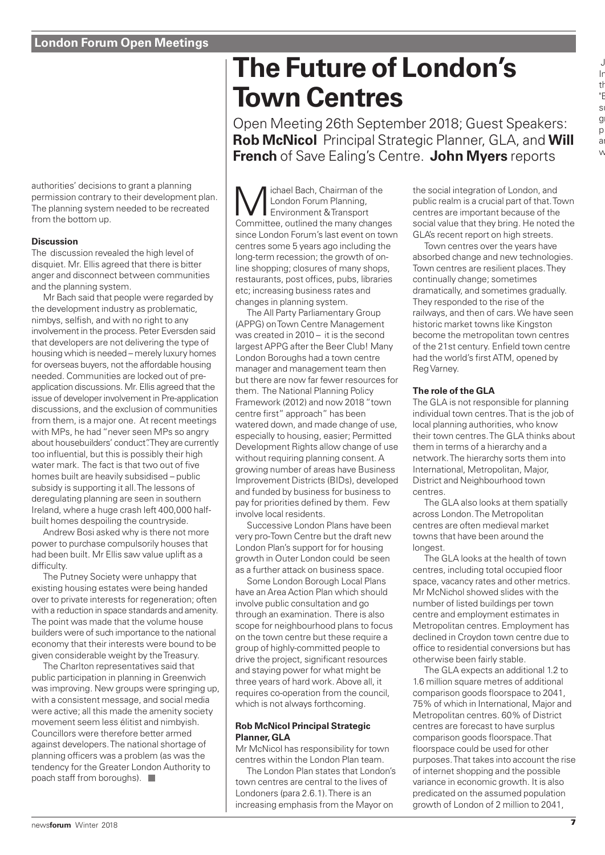authorities' decisions to grant a planning permission contrary to their development plan. The planning system needed to be recreated from the bottom up.

#### **Discussion**

The discussion revealed the high level of disquiet. Mr. Ellis agreed that there is bitter anger and disconnect between communities and the planning system.

Mr Bach said that people were regarded by the development industry as problematic, nimbys, selfish, and with no right to any involvement in the process. Peter Eversden said that developers are not delivering the type of housing which is needed – merely luxury homes for overseas buyers, not the affordable housing needed. Communities are locked out of preapplication discussions. Mr. Ellis agreed that the issue of developer involvement in Pre-application discussions, and the exclusion of communities from them, is a major one. At recent meetings with MPs, he had "never seen MPs so angry about housebuilders' conduct". They are currently too influential, but this is possibly their high water mark. The fact is that two out of five homes built are heavily subsidised – public subsidy is supporting it all. The lessons of deregulating planning are seen in southern Ireland, where a huge crash left 400,000 halfbuilt homes despoiling the countryside.

Andrew Bosi asked why is there not more power to purchase compulsorily houses that had been built. Mr Ellis saw value uplift as a difficulty.

The Putney Society were unhappy that existing housing estates were being handed over to private interests for regeneration; often with a reduction in space standards and amenity. The point was made that the volume house builders were of such importance to the national economy that their interests were bound to be given considerable weight by the Treasury.

The Charlton representatives said that public participation in planning in Greenwich was improving. New groups were springing up, with a consistent message, and social media were active; all this made the amenity society movement seem less élitist and nimbyish. Councillors were therefore better armed against developers. The national shortage of planning officers was a problem (as was the tendency for the Greater London Authority to poach staff from boroughs).

# **The Future of London's Town Centres**

Open Meeting 26th September 2018; Guest Speakers: **Rob McNicol** Principal Strategic Planner, GLA, and **Will French** of Save Ealing's Centre. **John Myers** reports

**M** London Forum Planning,<br>
Environment & Transport<br>
Committee, outlined the many change London Forum Planning, Committee, outlined the many changes since London Forum's last event on town centres some 5 years ago including the long-term recession; the growth of online shopping; closures of many shops, restaurants, post offices, pubs, libraries etc; increasing business rates and changes in planning system.

The All Party Parliamentary Group (APPG) on Town Centre Management was created in 2010 – it is the second largest APPG after the Beer Club! Many London Boroughs had a town centre manager and management team then but there are now far fewer resources for them. The National Planning Policy Framework (2012) and now 2018 "town centre first" approach" has been watered down, and made change of use, especially to housing, easier; Permitted Development Rights allow change of use without requiring planning consent. A growing number of areas have Business Improvement Districts (BIDs), developed and funded by business for business to pay for priorities defined by them. Few involve local residents.

Successive London Plans have been very pro-Town Centre but the draft new London Plan's support for for housing growth in Outer London could be seen as a further attack on business space.

Some London Borough Local Plans have an Area Action Plan which should involve public consultation and go through an examination. There is also scope for neighbourhood plans to focus on the town centre but these require a group of highly-committed people to drive the project, significant resources and staying power for what might be three years of hard work. Above all, it requires co-operation from the council, which is not always forthcoming.

#### **Rob McNicol Principal Strategic Planner, GLA**

Mr McNicol has responsibility for town centres within the London Plan team.

The London Plan states that London's town centres are central to the lives of Londoners (para 2.6.1). There is an increasing emphasis from the Mayor on

the social integration of London, and public realm is a crucial part of that. Town centres are important because of the social value that they bring. He noted the GLA's recent report on high streets.

Town centres over the years have absorbed change and new technologies. Town centres are resilient places. They continually change; sometimes dramatically, and sometimes gradually. They responded to the rise of the railways, and then of cars. We have seen historic market towns like Kingston become the metropolitan town centres of the 21st century. Enfield town centre had the world's first ATM, opened by Reg Varney.

#### **The role of the GLA**

The GLA is not responsible for planning individual town centres. That is the job of local planning authorities, who know their town centres. The GLA thinks about them in terms of a hierarchy and a network. The hierarchy sorts them into International, Metropolitan, Major, District and Neighbourhood town centres.

The GLA also looks at them spatially across London. The Metropolitan centres are often medieval market towns that have been around the longest.

The GLA looks at the health of town centres, including total occupied floor space, vacancy rates and other metrics. Mr McNichol showed slides with the number of listed buildings per town centre and employment estimates in Metropolitan centres. Employment has declined in Croydon town centre due to office to residential conversions but has otherwise been fairly stable.

The GLA expects an additional 1.2 to 1.6 million square metres of additional comparison goods floorspace to 2041, 75% of which in International, Major and Metropolitan centres. 60% of District centres are forecast to have surplus comparison goods floorspace. That floorspace could be used for other purposes. That takes into account the rise of internet shopping and the possible variance in economic growth. It is also predicated on the assumed population growth of London of 2 million to 2041,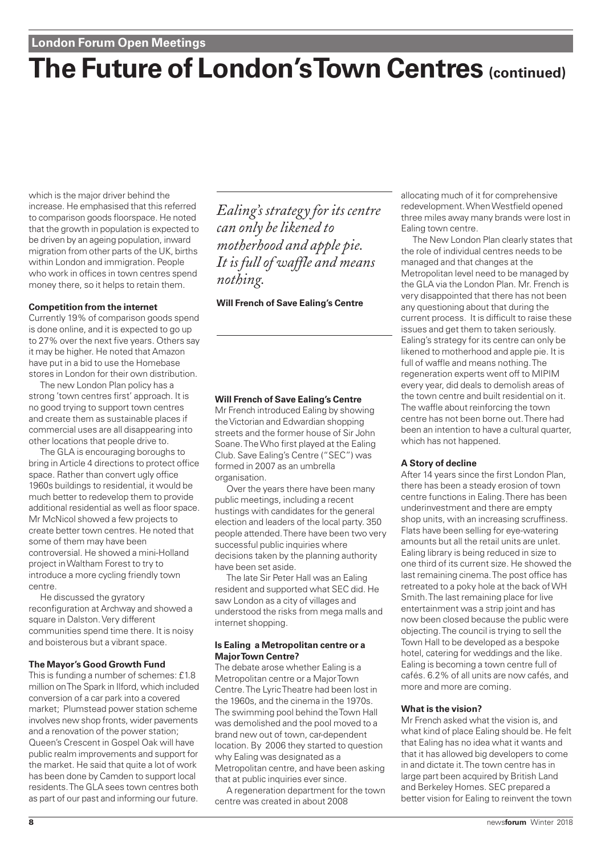# **The Future of London's Town Centres (continued)**

which is the major driver behind the increase. He emphasised that this referred to comparison goods floorspace. He noted that the growth in population is expected to be driven by an ageing population, inward migration from other parts of the UK, births within London and immigration. People who work in offices in town centres spend money there, so it helps to retain them.

#### **Competition from the internet**

Currently 19% of comparison goods spend is done online, and it is expected to go up to 27% over the next five years. Others say it may be higher. He noted that Amazon have put in a bid to use the Homebase stores in London for their own distribution.

The new London Plan policy has a strong 'town centres first' approach. It is no good trying to support town centres and create them as sustainable places if commercial uses are all disappearing into other locations that people drive to.

The GLA is encouraging boroughs to bring in Article 4 directions to protect office space. Rather than convert ugly office 1960s buildings to residential, it would be much better to redevelop them to provide additional residential as well as floor space. Mr McNicol showed a few projects to create better town centres. He noted that some of them may have been controversial. He showed a mini-Holland project in Waltham Forest to try to introduce a more cycling friendly town centre.

He discussed the gyratory reconfiguration at Archway and showed a square in Dalston. Very different communities spend time there. It is noisy and boisterous but a vibrant space.

#### **The Mayor's Good Growth Fund**

This is funding a number of schemes: £1.8 million on The Spark in Ilford, which included conversion of a car park into a covered market; Plumstead power station scheme involves new shop fronts, wider pavements and a renovation of the power station; Queen's Crescent in Gospel Oak will have public realm improvements and support for the market. He said that quite a lot of work has been done by Camden to support local residents. The GLA sees town centres both as part of our past and informing our future.

*Ealing's strategy for its centre can only be likened to motherhood and apple pie. It is full of waffle and means nothing.*

**Will French of Save Ealing's Centre**

#### **Will French of Save Ealing's Centre**

Mr French introduced Ealing by showing the Victorian and Edwardian shopping streets and the former house of Sir John Soane. The Who first played at the Ealing Club. Save Ealing's Centre ("SEC") was formed in 2007 as an umbrella organisation.

Over the years there have been many public meetings, including a recent hustings with candidates for the general election and leaders of the local party. 350 people attended. There have been two very successful public inquiries where decisions taken by the planning authority have been set aside.

The late Sir Peter Hall was an Ealing resident and supported what SEC did. He saw London as a city of villages and understood the risks from mega malls and internet shopping.

#### **Is Ealing a Metropolitan centre or a Major Town Centre?**

The debate arose whether Ealing is a Metropolitan centre or a Major Town Centre. The Lyric Theatre had been lost in the 1960s, and the cinema in the 1970s. The swimming pool behind the Town Hall was demolished and the pool moved to a brand new out of town, car-dependent location. By 2006 they started to question why Ealing was designated as a Metropolitan centre, and have been asking that at public inquiries ever since.

A regeneration department for the town centre was created in about 2008

allocating much of it for comprehensive redevelopment. When Westfield opened three miles away many brands were lost in Ealing town centre.

The New London Plan clearly states that the role of individual centres needs to be managed and that changes at the Metropolitan level need to be managed by the GLA via the London Plan. Mr. French is very disappointed that there has not been any questioning about that during the current process. It is difficult to raise these issues and get them to taken seriously. Ealing's strategy for its centre can only be likened to motherhood and apple pie. It is full of waffle and means nothing. The regeneration experts went off to MIPIM every year, did deals to demolish areas of the town centre and built residential on it. The waffle about reinforcing the town centre has not been borne out. There had been an intention to have a cultural quarter, which has not happened.

#### **A Story of decline**

After 14 years since the first London Plan, there has been a steady erosion of town centre functions in Ealing. There has been underinvestment and there are empty shop units, with an increasing scruffiness. Flats have been selling for eye-watering amounts but all the retail units are unlet. Ealing library is being reduced in size to one third of its current size. He showed the last remaining cinema. The post office has retreated to a poky hole at the back of WH Smith. The last remaining place for live entertainment was a strip joint and has now been closed because the public were objecting. The council is trying to sell the Town Hall to be developed as a bespoke hotel, catering for weddings and the like. Ealing is becoming a town centre full of cafés. 6.2% of all units are now cafés, and more and more are coming.

#### **What is the vision?**

Mr French asked what the vision is, and what kind of place Ealing should be. He felt that Ealing has no idea what it wants and that it has allowed big developers to come in and dictate it. The town centre has in large part been acquired by British Land and Berkeley Homes. SEC prepared a better vision for Ealing to reinvent the town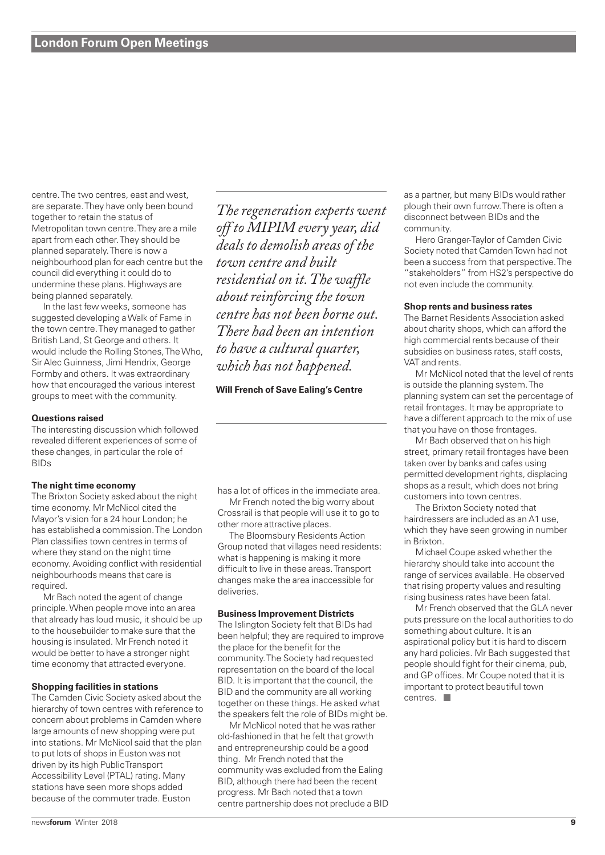centre. The two centres, east and west, are separate. They have only been bound together to retain the status of Metropolitan town centre. They are a mile apart from each other. They should be planned separately. There is now a neighbourhood plan for each centre but the council did everything it could do to undermine these plans. Highways are being planned separately.

In the last few weeks, someone has suggested developing a Walk of Fame in the town centre. They managed to gather British Land, St George and others. It would include the Rolling Stones, The Who, Sir Alec Guinness, Jimi Hendrix, George Formby and others. It was extraordinary how that encouraged the various interest groups to meet with the community.

#### **Questions raised**

The interesting discussion which followed revealed different experiences of some of these changes, in particular the role of BIDs

#### **The night time economy**

The Brixton Society asked about the night time economy. Mr McNicol cited the Mayor's vision for a 24 hour London; he has established a commission. The London Plan classifies town centres in terms of where they stand on the night time economy. Avoiding conflict with residential neighbourhoods means that care is required.

Mr Bach noted the agent of change principle. When people move into an area that already has loud music, it should be up to the housebuilder to make sure that the housing is insulated. Mr French noted it would be better to have a stronger night time economy that attracted everyone.

#### **Shopping facilities in stations**

The Camden Civic Society asked about the hierarchy of town centres with reference to concern about problems in Camden where large amounts of new shopping were put into stations. Mr McNicol said that the plan to put lots of shops in Euston was not driven by its high Public Transport Accessibility Level (PTAL) rating. Many stations have seen more shops added because of the commuter trade. Euston

*The regeneration experts went off to MIPIM every year, did deals to demolish areas of the town centre and built residential on it.The waffle about reinforcing the town centre has not been borne out. There had been an intention to have a cultural quarter, which has not happened.*

#### **Will French of Save Ealing's Centre**

has a lot of offices in the immediate area.

Mr French noted the big worry about Crossrail is that people will use it to go to other more attractive places.

The Bloomsbury Residents Action Group noted that villages need residents: what is happening is making it more difficult to live in these areas. Transport changes make the area inaccessible for deliveries.

#### **Business Improvement Districts**

The Islington Society felt that BIDs had been helpful; they are required to improve the place for the benefit for the community. The Society had requested representation on the board of the local BID. It is important that the council, the BID and the community are all working together on these things. He asked what the speakers felt the role of BIDs might be.

Mr McNicol noted that he was rather old-fashioned in that he felt that growth and entrepreneurship could be a good thing. Mr French noted that the community was excluded from the Ealing BID, although there had been the recent progress. Mr Bach noted that a town centre partnership does not preclude a BID as a partner, but many BIDs would rather plough their own furrow. There is often a disconnect between BIDs and the community.

Hero Granger-Taylor of Camden Civic Society noted that Camden Town had not been a success from that perspective. The "stakeholders" from HS2's perspective do not even include the community.

#### **Shop rents and business rates**

The Barnet Residents Association asked about charity shops, which can afford the high commercial rents because of their subsidies on business rates, staff costs, VAT and rents.

Mr McNicol noted that the level of rents is outside the planning system. The planning system can set the percentage of retail frontages. It may be appropriate to have a different approach to the mix of use that you have on those frontages.

Mr Bach observed that on his high street, primary retail frontages have been taken over by banks and cafes using permitted development rights, displacing shops as a result, which does not bring customers into town centres.

The Brixton Society noted that hairdressers are included as an A1 use, which they have seen growing in number in Brixton.

Michael Coupe asked whether the hierarchy should take into account the range of services available. He observed that rising property values and resulting rising business rates have been fatal.

Mr French observed that the GLA never puts pressure on the local authorities to do something about culture. It is an aspirational policy but it is hard to discern any hard policies. Mr Bach suggested that people should fight for their cinema, pub, and GP offices. Mr Coupe noted that it is important to protect beautiful town centres.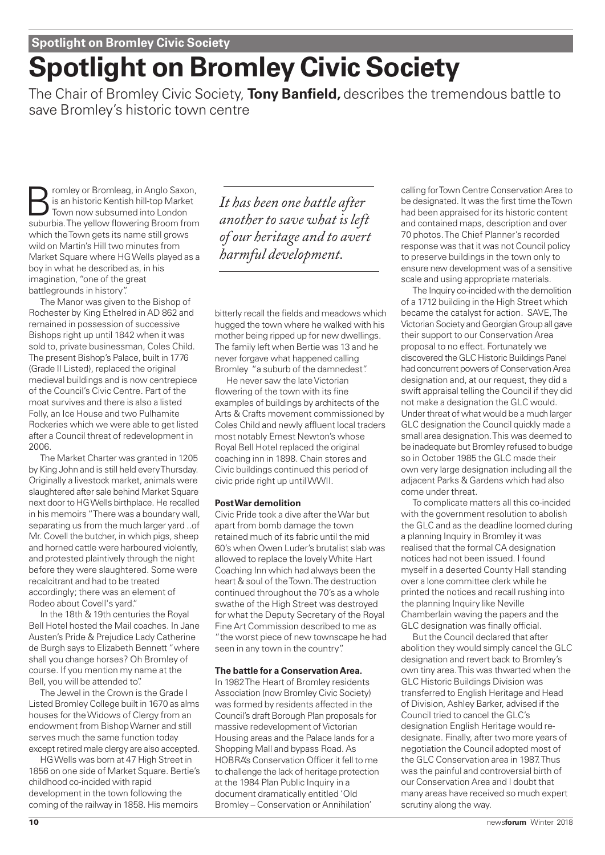# **Spotlight on Bromley Civic Society**

The Chair of Bromley Civic Society, **Tony Banfield,** describes the tremendous battle to save Bromley's historic town centre

romley or Bromleag, in Anglo Saxon, is an historic Kentish hill-top Market Town now subsumed into London suburbia. The yellow flowering Broom from which the Town gets its name still grows wild on Martin's Hill two minutes from Market Square where HG Wells played as a boy in what he described as, in his imagination, "one of the great battlegrounds in history".

The Manor was given to the Bishop of Rochester by King Ethelred in AD 862 and remained in possession of successive Bishops right up until 1842 when it was sold to, private businessman, Coles Child. The present Bishop's Palace, built in 1776 (Grade II Listed), replaced the original medieval buildings and is now centrepiece of the Council's Civic Centre. Part of the moat survives and there is also a listed Folly, an Ice House and two Pulhamite Rockeries which we were able to get listed after a Council threat of redevelopment in 2006.

The Market Charter was granted in 1205 by King John and is still held every Thursday. Originally a livestock market, animals were slaughtered after sale behind Market Square next door to HG Wells birthplace. He recalled in his memoirs "There was a boundary wall, separating us from the much larger yard ..of Mr. Covell the butcher, in which pigs, sheep and horned cattle were harboured violently, and protested plaintively through the night before they were slaughtered. Some were recalcitrant and had to be treated accordingly; there was an element of Rodeo about Covell's yard."

In the 18th & 19th centuries the Royal Bell Hotel hosted the Mail coaches. In Jane Austen's Pride & Prejudice Lady Catherine de Burgh says to Elizabeth Bennett "where shall you change horses? Oh Bromley of course. If you mention my name at the Bell, you will be attended to".

The Jewel in the Crown is the Grade I Listed Bromley College built in 1670 as alms houses for the Widows of Clergy from an endowment from Bishop Warner and still serves much the same function today except retired male clergy are also accepted.

HG Wells was born at 47 High Street in 1856 on one side of Market Square. Bertie's childhood co-incided with rapid development in the town following the coming of the railway in 1858. His memoirs

*It has been one battle after another to save what is left of our heritage and to avert harmful development.*

bitterly recall the fields and meadows which hugged the town where he walked with his mother being ripped up for new dwellings. The family left when Bertie was 13 and he never forgave what happened calling Bromley "a suburb of the damnedest".

He never saw the late Victorian flowering of the town with its fine examples of buildings by architects of the Arts & Crafts movement commissioned by Coles Child and newly affluent local traders most notably Ernest Newton's whose Royal Bell Hotel replaced the original coaching inn in 1898. Chain stores and Civic buildings continued this period of civic pride right up until WWII.

#### **Post War demolition**

Civic Pride took a dive after the War but apart from bomb damage the town retained much of its fabric until the mid 60's when Owen Luder's brutalist slab was allowed to replace the lovely White Hart Coaching Inn which had always been the heart & soul of the Town. The destruction continued throughout the 70's as a whole swathe of the High Street was destroyed for what the Deputy Secretary of the Royal Fine Art Commission described to me as "the worst piece of new townscape he had seen in any town in the country".

#### **The battle for a Conservation Area.**

In 1982 The Heart of Bromley residents Association (now Bromley Civic Society) was formed by residents affected in the Council's draft Borough Plan proposals for massive redevelopment of Victorian Housing areas and the Palace lands for a Shopping Mall and bypass Road. As HOBRA's Conservation Officer it fell to me to challenge the lack of heritage protection at the 1984 Plan Public Inquiry in a document dramatically entitled 'Old Bromley – Conservation or Annihilation'

calling for Town Centre Conservation Area to be designated. It was the first time the Town had been appraised for its historic content and contained maps, description and over 70 photos. The Chief Planner's recorded response was that it was not Council policy to preserve buildings in the town only to ensure new development was of a sensitive scale and using appropriate materials.

The Inquiry co-incided with the demolition of a 1712 building in the High Street which became the catalyst for action. SAVE, The Victorian Society and Georgian Group all gave their support to our Conservation Area proposal to no effect. Fortunately we discovered the GLC Historic Buildings Panel had concurrent powers of Conservation Area designation and, at our request, they did a swift appraisal telling the Council if they did not make a designation the GLC would. Under threat of what would be a much larger GLC designation the Council quickly made a small area designation. This was deemed to be inadequate but Bromley refused to budge so in October 1985 the GLC made their own very large designation including all the adjacent Parks & Gardens which had also come under threat.

To complicate matters all this co-incided with the government resolution to abolish the GLC and as the deadline loomed during a planning Inquiry in Bromley it was realised that the formal CA designation notices had not been issued. I found myself in a deserted County Hall standing over a lone committee clerk while he printed the notices and recall rushing into the planning Inquiry like Neville Chamberlain waving the papers and the GLC designation was finally official.

But the Council declared that after abolition they would simply cancel the GLC designation and revert back to Bromley's own tiny area. This was thwarted when the GLC Historic Buildings Division was transferred to English Heritage and Head of Division, Ashley Barker, advised if the Council tried to cancel the GLC's designation English Heritage would redesignate. Finally, after two more years of negotiation the Council adopted most of the GLC Conservation area in 1987. Thus was the painful and controversial birth of our Conservation Area and I doubt that many areas have received so much expert scrutiny along the way.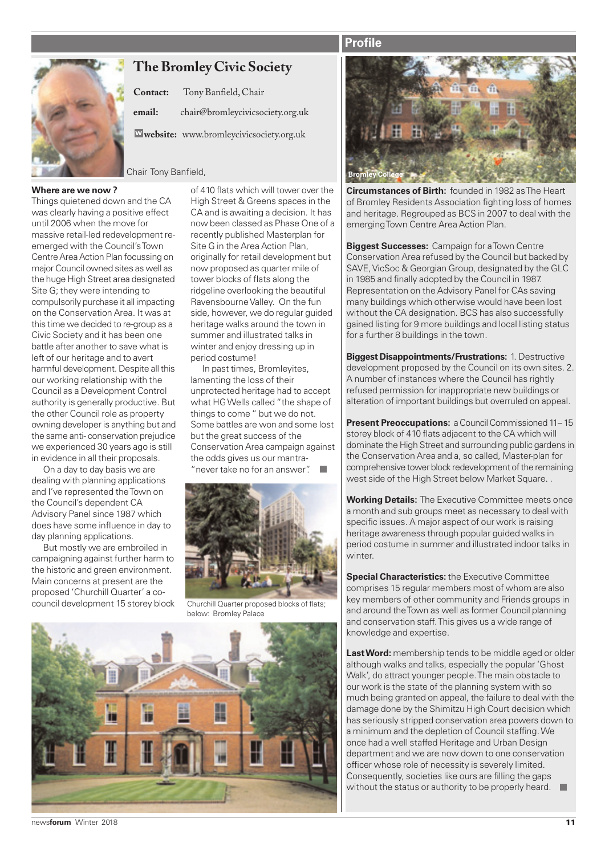### **Profile**



# **The Bromley Civic Society**

|        | Contact: Tony Banfield, Chair            |
|--------|------------------------------------------|
| email: | chair@bromleycivicsociety.org.uk         |
|        | Wwebsite: www.bromleycivicsociety.org.uk |
|        |                                          |

**Chair Tony Banfield, and Bromley College College College College College College** 

#### **Where are we now ?**

Things quietened down and the CA was clearly having a positive effect until 2006 when the move for massive retail-led redevelopment reemerged with the Council's Town Centre Area Action Plan focussing on major Council owned sites as well as the huge High Street area designated Site G; they were intending to compulsorily purchase it all impacting on the Conservation Area. It was at this time we decided to re-group as a Civic Society and it has been one battle after another to save what is left of our heritage and to avert harmful development. Despite all this our working relationship with the Council as a Development Control authority is generally productive. But the other Council role as property owning developer is anything but and the same anti- conservation prejudice we experienced 30 years ago is still in evidence in all their proposals.

On a day to day basis we are dealing with planning applications and I've represented the Town on the Council's dependent CA Advisory Panel since 1987 which does have some influence in day to day planning applications.

But mostly we are embroiled in campaigning against further harm to the historic and green environment. Main concerns at present are the proposed 'Churchill Quarter' a cocouncil development 15 storey block of 410 flats which will tower over the High Street & Greens spaces in the CA and is awaiting a decision. It has now been classed as Phase One of a recently published Masterplan for Site G in the Area Action Plan, originally for retail development but now proposed as quarter mile of tower blocks of flats along the ridgeline overlooking the beautiful Ravensbourne Valley. On the fun side, however, we do regular guided heritage walks around the town in summer and illustrated talks in winter and enjoy dressing up in period costume!

In past times, Bromleyites, lamenting the loss of their unprotected heritage had to accept what HG Wells called "the shape of things to come " but we do not. Some battles are won and some lost but the great success of the Conservation Area campaign against the odds gives us our mantra- "never take no for an answer".



Churchill Quarter proposed blocks of flats; below: Bromley Palace





**Circumstances of Birth:** founded in 1982 as The Heart of Bromley Residents Association fighting loss of homes and heritage. Regrouped as BCS in 2007 to deal with the emerging Town Centre Area Action Plan.

**Biggest Successes:** Campaign for a Town Centre Conservation Area refused by the Council but backed by SAVE, VicSoc & Georgian Group, designated by the GLC in 1985 and finally adopted by the Council in 1987. Representation on the Advisory Panel for CAs saving many buildings which otherwise would have been lost without the CA designation. BCS has also successfully gained listing for 9 more buildings and local listing status for a further 8 buildings in the town.

**Biggest Disappointments/Frustrations:** 1. Destructive development proposed by the Council on its own sites. 2. A number of instances where the Council has rightly refused permission for inappropriate new buildings or alteration of important buildings but overruled on appeal.

**Present Preoccupations:** a Council Commissioned 11-15 storey block of 410 flats adjacent to the CA which will dominate the High Street and surrounding public gardens in the Conservation Area and a, so called, Master-plan for comprehensive tower block redevelopment of the remaining west side of the High Street below Market Square. .

**Working Details:** The Executive Committee meets once a month and sub groups meet as necessary to deal with specific issues. A major aspect of our work is raising heritage awareness through popular guided walks in period costume in summer and illustrated indoor talks in winter.

**Special Characteristics:** the Executive Committee comprises 15 regular members most of whom are also key members of other community and Friends groups in and around the Town as well as former Council planning and conservation staff. This gives us a wide range of knowledge and expertise.

**Last Word:** membership tends to be middle aged or older although walks and talks, especially the popular 'Ghost Walk', do attract younger people. The main obstacle to our work is the state of the planning system with so much being granted on appeal, the failure to deal with the damage done by the Shimitzu High Court decision which has seriously stripped conservation area powers down to a minimum and the depletion of Council staffing. We once had a well staffed Heritage and Urban Design department and we are now down to one conservation officer whose role of necessity is severely limited. Consequently, societies like ours are filling the gaps without the status or authority to be properly heard.

news**forum** Winter 2018 **11**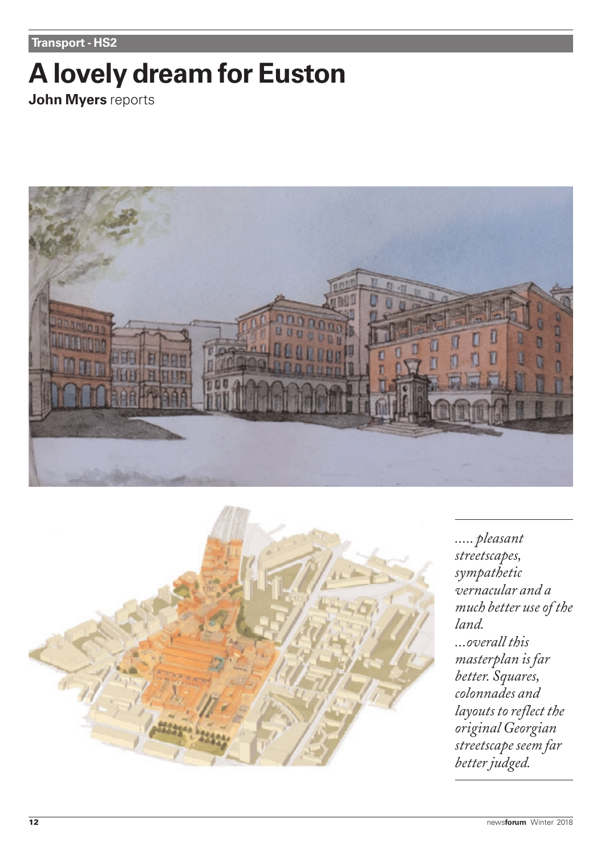**Transport - HS2**

# **A lovely dream for Euston**

**John Myers** reports





*..... pleasant streetscapes, sympathetic vernacular and a much better use of the land. ...overall this masterplan is far better. Squares, colonnades and layouts to reflect the original Georgian streetscape seem far better judged.*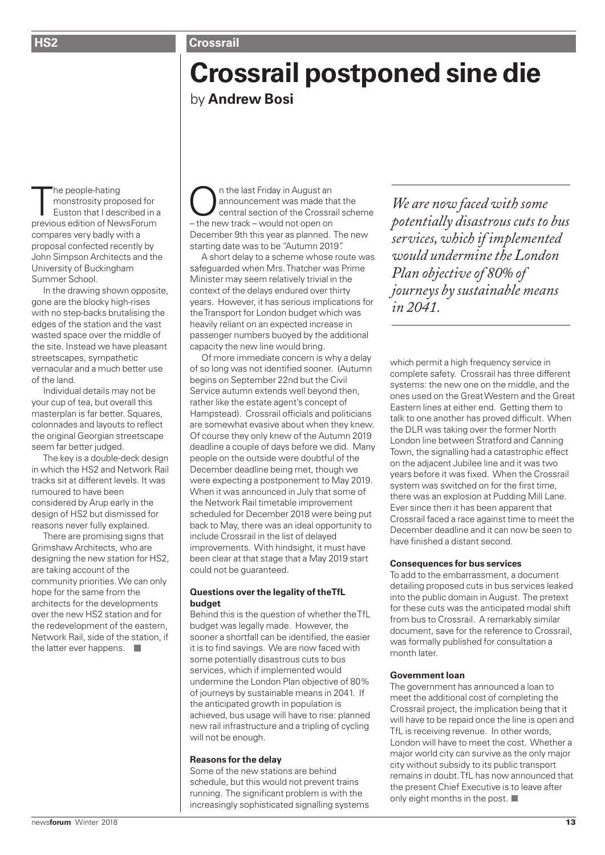# **Crossrail postponed sine die** by **Andrew Bosi**

The people-hating<br>
monstrosity proposed for<br>
Euston that I described in<br>
previous edition of NewsForum he people-hating monstrosity proposed for Euston that I described in a compares very badly with a proposal confected recently by John Simpson Architects and the University of Buckingham Summer School.

In the drawing shown opposite, gone are the blocky high-rises with no step-backs brutalising the edges of the station and the vast wasted space over the middle of the site. Instead we have pleasant streetscapes, sympathetic vernacular and a much better use of the land.

Individual details may not be your cup of tea, but overall this masterplan is far better. Squares, colonnades and layouts to reflect the original Georgian streetscape seem far better judged.

The key is a double-deck design in which the HS2 and Network Rail tracks sit at different levels. It was rumoured to have been considered by Arup early in the design of HS2 but dismissed for reasons never fully explained.

There are promising signs that Grimshaw Architects, who are designing the new station for HS2, are taking account of the community priorities. We can only hope for the same from the architects for the developments over the new HS2 station and for the redevelopment of the eastern, Network Rail, side of the station, if the latter ever happens.

On the last Friday in August an<br>
central section of the Crossrail scheme<br>
the pow track would not one on announcement was made that the – the new track – would not open on December 9th this year as planned. The new starting date was to be "Autumn 2019".

A short delay to a scheme whose route was safeguarded when Mrs. Thatcher was Prime Minister may seem relatively trivial in the context of the delays endured over thirty years. However, it has serious implications for the Transport for London budget which was heavily reliant on an expected increase in passenger numbers buoyed by the additional capacity the new line would bring.

Of more immediate concern is why a delay of so long was not identified sooner. (Autumn begins on September 22nd but the Civil Service autumn extends well beyond then, rather like the estate agent's concept of Hampstead). Crossrail officials and politicians are somewhat evasive about when they knew. Of course they only knew of the Autumn 2019 deadline a couple of days before we did. Many people on the outside were doubtful of the December deadline being met, though we were expecting a postponement to May 2019. When it was announced in July that some of the Network Rail timetable improvement scheduled for December 2018 were being put back to May, there was an ideal opportunity to include Crossrail in the list of delayed improvements. With hindsight, it must have been clear at that stage that a May 2019 start could not be guaranteed.

#### **Questions over the legality of theTfL budget**

Behind this is the question of whether the TfL budget was legally made. However, the sooner a shortfall can be identified, the easier it is to find savings. We are now faced with some potentially disastrous cuts to bus services, which if implemented would undermine the London Plan objective of 80% of journeys by sustainable means in 2041. If the anticipated growth in population is achieved, bus usage will have to rise: planned new rail infrastructure and a tripling of cycling will not be enough.

#### **Reasons for the delay**

Some of the new stations are behind schedule, but this would not prevent trains running. The significant problem is with the increasingly sophisticated signalling systems

*We are now faced with some potentially disastrous cuts to bus services, which if implemented would undermine the London Plan objective of 80% of journeys by sustainable means in 2041.*

which permit a high frequency service in complete safety. Crossrail has three different systems: the new one on the middle, and the ones used on the Great Western and the Great Eastern lines at either end. Getting them to talk to one another has proved difficult. When the DLR was taking over the former North London line between Stratford and Canning Town, the signalling had a catastrophic effect on the adjacent Jubilee line and it was two years before it was fixed. When the Crossrail system was switched on for the first time, there was an explosion at Pudding Mill Lane. Ever since then it has been apparent that Crossrail faced a race against time to meet the December deadline and it can now be seen to have finished a distant second.

#### **Consequences for bus services**

To add to the embarrassment, a document detailing proposed cuts in bus services leaked into the public domain in August. The pretext for these cuts was the anticipated modal shift from bus to Crossrail. A remarkably similar document, save for the reference to Crossrail, was formally published for consultation a month later.

#### **Government loan**

The government has announced a loan to meet the additional cost of completing the Crossrail project, the implication being that it will have to be repaid once the line is open and TfL is receiving revenue. In other words, London will have to meet the cost. Whether a major world city can survive as the only major city without subsidy to its public transport remains in doubt. TfL has now announced that the present Chief Executive is to leave after only eight months in the post.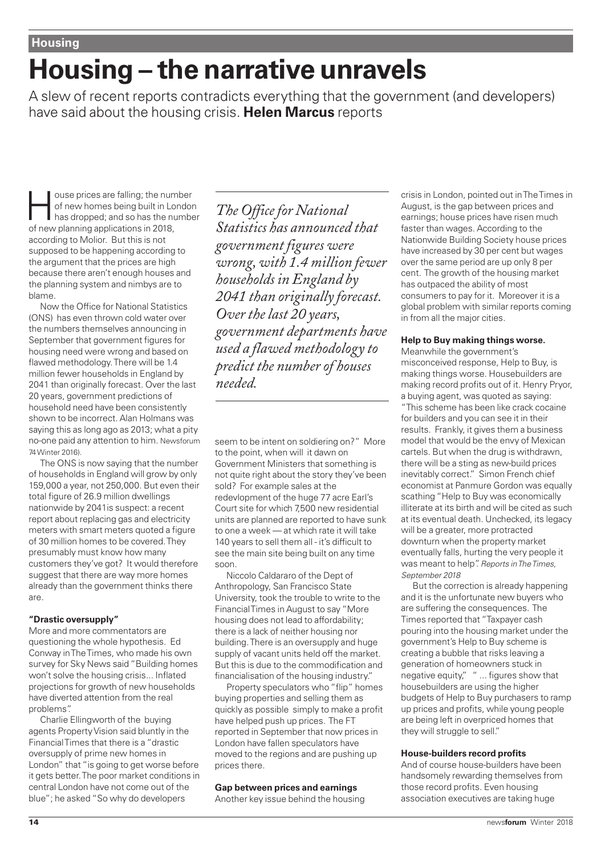# **Housing – the narrative unravels**

A slew of recent reports contradicts everything that the government (and developers) have said about the housing crisis. **Helen Marcus** reports

ouse prices are falling; the number<br>of new homes being built in London<br>has dropped; and so has the number<br>of new planning applications in 2019 of new homes being built in London of new planning applications in 2018, according to Molior. But this is not supposed to be happening according to the argument that the prices are high because there aren't enough houses and the planning system and nimbys are to blame.

Now the Office for National Statistics (ONS) has even thrown cold water over the numbers themselves announcing in September that government figures for housing need were wrong and based on flawed methodology. There will be 1.4 million fewer households in England by 2041 than originally forecast. Over the last 20 years, government predictions of household need have been consistently shown to be incorrect. Alan Holmans was saying this as long ago as 2013; what a pity no-one paid any attention to him. Newsforum 74 Winter 2016).

The ONS is now saying that the number of households in England will grow by only 159,000 a year, not 250,000. But even their total figure of 26.9 million dwellings nationwide by 2041is suspect: a recent report about replacing gas and electricity meters with smart meters quoted a figure of 30 million homes to be covered. They presumably must know how many customers they've got? It would therefore suggest that there are way more homes already than the government thinks there are.

#### **"Drastic oversupply"**

More and more commentators are questioning the whole hypothesis. Ed Conway in The Times, who made his own survey for Sky News said "Building homes won't solve the housing crisis... Inflated projections for growth of new households have diverted attention from the real problems".

Charlie Ellingworth of the buying agents Property Vision said bluntly in the Financial Times that there is a "drastic oversupply of prime new homes in London" that "is going to get worse before it gets better. The poor market conditions in central London have not come out of the blue"; he asked "So why do developers

*The Office for National Statistics has announced that government figures were wrong, with 1.4 million fewer households in England by 2041 than originally forecast. Over the last 20 years, government departments have used a flawed methodology to predict the number of houses needed.*

seem to be intent on soldiering on?" More to the point, when will it dawn on Government Ministers that something is not quite right about the story they've been sold? For example sales at the redevlopment of the huge 77 acre Earl's Court site for which 7,500 new residential units are planned are reported to have sunk to one a week — at which rate it will take 140 years to sell them all - it's difficult to see the main site being built on any time soon.

Niccolo Caldararo of the Dept of Anthropology, San Francisco State University, took the trouble to write to the Financial Times in August to say "More housing does not lead to affordability; there is a lack of neither housing nor building. There is an oversupply and huge supply of vacant units held off the market. But this is due to the commodification and financialisation of the housing industry."

Property speculators who "flip" homes buying properties and selling them as quickly as possible simply to make a profit have helped push up prices. The FT reported in September that now prices in London have fallen speculators have moved to the regions and are pushing up prices there.

#### **Gap between prices and earnings**

Another key issue behind the housing

crisis in London, pointed out in The Times in August, is the gap between prices and earnings; house prices have risen much faster than wages. According to the Nationwide Building Society house prices have increased by 30 per cent but wages over the same period are up only 8 per cent. The growth of the housing market has outpaced the ability of most consumers to pay for it. Moreover it is a global problem with similar reports coming in from all the major cities.

#### **Help to Buy making things worse.**

Meanwhile the government's misconceived response, Help to Buy, is making things worse. Housebuilders are making record profits out of it. Henry Pryor, a buying agent, was quoted as saying: "This scheme has been like crack cocaine for builders and you can see it in their results. Frankly, it gives them a business model that would be the envy of Mexican cartels. But when the drug is withdrawn, there will be a sting as new-build prices inevitably correct." Simon French chief economist at Panmure Gordon was equally scathing "Help to Buy was economically illiterate at its birth and will be cited as such at its eventual death. Unchecked, its legacy will be a greater, more protracted downturn when the property market eventually falls, hurting the very people it was meant to help". Reports in The Times, September 2018

But the correction is already happening and it is the unfortunate new buyers who are suffering the consequences. The Times reported that "Taxpayer cash pouring into the housing market under the government's Help to Buy scheme is creating a bubble that risks leaving a generation of homeowners stuck in negative equity," " ... figures show that housebuilders are using the higher budgets of Help to Buy purchasers to ramp up prices and profits, while young people are being left in overpriced homes that they will struggle to sell."

#### **House-builders record profits**

And of course house-builders have been handsomely rewarding themselves from those record profits. Even housing association executives are taking huge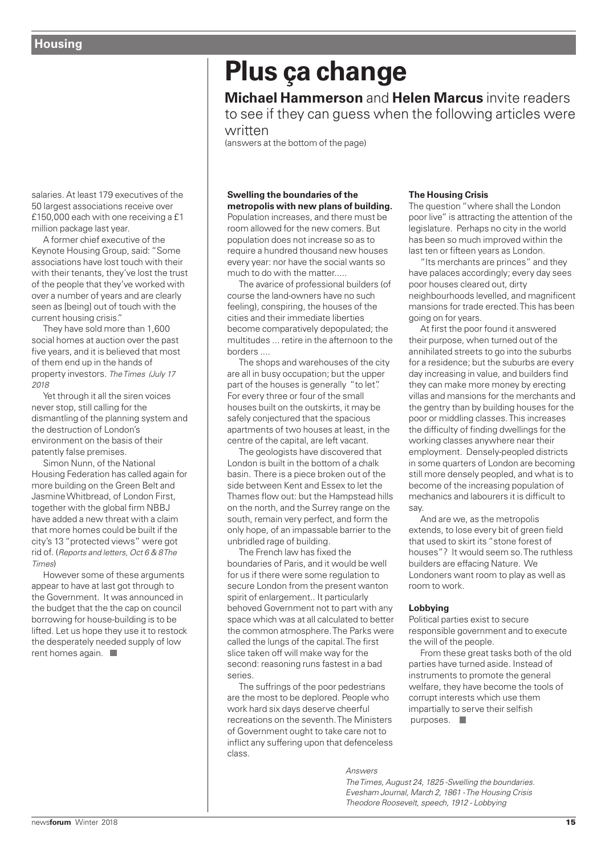salaries. At least 179 executives of the 50 largest associations receive over £150,000 each with one receiving a £1 million package last year.

A former chief executive of the Keynote Housing Group, said: "Some associations have lost touch with their with their tenants, they've lost the trust of the people that they've worked with over a number of years and are clearly seen as [being] out of touch with the current housing crisis."

They have sold more than 1,600 social homes at auction over the past five years, and it is believed that most of them end up in the hands of property investors. The Times (July 17 2018

Yet through it all the siren voices never stop, still calling for the dismantling of the planning system and the destruction of London's environment on the basis of their patently false premises.

Simon Nunn, of the National Housing Federation has called again for more building on the Green Belt and Jasmine Whitbread, of London First, together with the global firm NBBJ have added a new threat with a claim that more homes could be built if the city's 13 "protected views" were got rid of. (Reports and letters, Oct 6 & 8 The Times)

However some of these arguments appear to have at last got through to the Government. It was announced in the budget that the the cap on council borrowing for house-building is to be lifted. Let us hope they use it to restock the desperately needed supply of low rent homes again.

# **Plus ça change**

**Michael Hammerson** and **Helen Marcus** invite readers to see if they can guess when the following articles were

written

(answers at the bottom of the page)

#### **Swelling the boundaries of the metropolis with new plans of building.**

Population increases, and there must be room allowed for the new comers. But population does not increase so as to require a hundred thousand new houses every year: nor have the social wants so much to do with the matter.....

The avarice of professional builders (of course the land-owners have no such feeling), conspiring, the houses of the cities and their immediate liberties become comparatively depopulated; the multitudes ... retire in the afternoon to the borders ....

The shops and warehouses of the city are all in busy occupation; but the upper part of the houses is generally "to let". For every three or four of the small houses built on the outskirts, it may be safely conjectured that the spacious apartments of two houses at least, in the centre of the capital, are left vacant.

The geologists have discovered that London is built in the bottom of a chalk basin. There is a piece broken out of the side between Kent and Essex to let the Thames flow out: but the Hampstead hills on the north, and the Surrey range on the south, remain very perfect, and form the only hope, of an impassable barrier to the unbridled rage of building.

The French law has fixed the boundaries of Paris, and it would be well for us if there were some regulation to secure London from the present wanton spirit of enlargement.. It particularly behoved Government not to part with any space which was at all calculated to better the common atmosphere. The Parks were called the lungs of the capital. The first slice taken off will make way for the second: reasoning runs fastest in a bad series.

The suffrings of the poor pedestrians are the most to be deplored. People who work hard six days deserve cheerful recreations on the seventh. The Ministers of Government ought to take care not to inflict any suffering upon that defenceless class.

#### **The Housing Crisis**

The question "where shall the London poor live" is attracting the attention of the legislature. Perhaps no city in the world has been so much improved within the last ten or fifteen years as London.

"Its merchants are princes" and they have palaces accordingly; every day sees poor houses cleared out, dirty neighbourhoods levelled, and magnificent mansions for trade erected. This has been going on for years.

At first the poor found it answered their purpose, when turned out of the annihilated streets to go into the suburbs for a residence; but the suburbs are every day increasing in value, and builders find they can make more money by erecting villas and mansions for the merchants and the gentry than by building houses for the poor or middling classes. This increases the difficulty of finding dwellings for the working classes anywhere near their employment. Densely-peopled districts in some quarters of London are becoming still more densely peopled, and what is to become of the increasing population of mechanics and labourers it is difficult to say.

And are we, as the metropolis extends, to lose every bit of green field that used to skirt its "stone forest of houses"? It would seem so. The ruthless builders are effacing Nature. We Londoners want room to play as well as room to work.

#### **Lobbying**

Political parties exist to secure responsible government and to execute the will of the people.

From these great tasks both of the old parties have turned aside. Instead of instruments to promote the general welfare, they have become the tools of corrupt interests which use them impartially to serve their selfish purposes.  $\blacksquare$ 

Answers

The Times, August 24, 1825 -Swelling the boundaries. Evesham Journal, March 2, 1861 - The Housing Crisis Theodore Roosevelt, speech, 1912 - Lobbying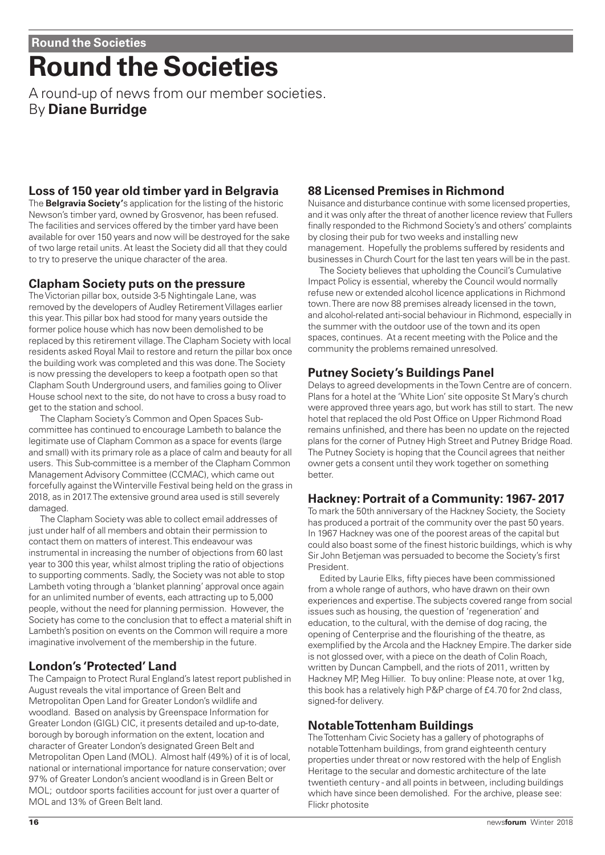# **Round the Societies**

A round-up of news from our member societies. By **Diane Burridge**

# **Loss of 150 year old timber yard in Belgravia**

The **Belgravia Society'**s application for the listing of the historic Newson's timber yard, owned by Grosvenor, has been refused. The facilities and services offered by the timber yard have been available for over 150 years and now will be destroyed for the sake of two large retail units. At least the Society did all that they could to try to preserve the unique character of the area.

### **Clapham Society puts on the pressure**

The Victorian pillar box, outside 3-5 Nightingale Lane, was removed by the developers of Audley Retirement Villages earlier this year. This pillar box had stood for many years outside the former police house which has now been demolished to be replaced by this retirement village. The Clapham Society with local residents asked Royal Mail to restore and return the pillar box once the building work was completed and this was done. The Society is now pressing the developers to keep a footpath open so that Clapham South Underground users, and families going to Oliver House school next to the site, do not have to cross a busy road to get to the station and school.

The Clapham Society's Common and Open Spaces Subcommittee has continued to encourage Lambeth to balance the legitimate use of Clapham Common as a space for events (large and small) with its primary role as a place of calm and beauty for all users. This Sub-committee is a member of the Clapham Common Management Advisory Committee (CCMAC), which came out forcefully against the Winterville Festival being held on the grass in 2018, as in 2017. The extensive ground area used is still severely damaged.

The Clapham Society was able to collect email addresses of just under half of all members and obtain their permission to contact them on matters of interest. This endeavour was instrumental in increasing the number of objections from 60 last year to 300 this year, whilst almost tripling the ratio of objections to supporting comments. Sadly, the Society was not able to stop Lambeth voting through a 'blanket planning' approval once again for an unlimited number of events, each attracting up to 5,000 people, without the need for planning permission. However, the Society has come to the conclusion that to effect a material shift in Lambeth's position on events on the Common will require a more imaginative involvement of the membership in the future.

# **London's 'Protected' Land**

The Campaign to Protect Rural England's latest report published in August reveals the vital importance of Green Belt and Metropolitan Open Land for Greater London's wildlife and woodland. Based on analysis by Greenspace Information for Greater London (GIGL) CIC, it presents detailed and up-to-date, borough by borough information on the extent, location and character of Greater London's designated Green Belt and Metropolitan Open Land (MOL). Almost half (49%) of it is of local, national or international importance for nature conservation; over 97% of Greater London's ancient woodland is in Green Belt or MOL; outdoor sports facilities account for just over a quarter of MOL and 13% of Green Belt land.

# **88 Licensed Premises in Richmond**

Nuisance and disturbance continue with some licensed properties, and it was only after the threat of another licence review that Fullers finally responded to the Richmond Society's and others' complaints by closing their pub for two weeks and installing new management. Hopefully the problems suffered by residents and businesses in Church Court for the last ten years will be in the past.

The Society believes that upholding the Council's Cumulative Impact Policy is essential, whereby the Council would normally refuse new or extended alcohol licence applications in Richmond town. There are now 88 premises already licensed in the town, and alcohol-related anti-social behaviour in Richmond, especially in the summer with the outdoor use of the town and its open spaces, continues. At a recent meeting with the Police and the community the problems remained unresolved.

# **Putney Society's Buildings Panel**

Delays to agreed developments in the Town Centre are of concern. Plans for a hotel at the 'White Lion' site opposite St Mary's church were approved three years ago, but work has still to start. The new hotel that replaced the old Post Office on Upper Richmond Road remains unfinished, and there has been no update on the rejected plans for the corner of Putney High Street and Putney Bridge Road. The Putney Society is hoping that the Council agrees that neither owner gets a consent until they work together on something better.

# **Hackney: Portrait of a Community: 1967- 2017**

To mark the 50th anniversary of the Hackney Society, the Society has produced a portrait of the community over the past 50 years. In 1967 Hackney was one of the poorest areas of the capital but could also boast some of the finest historic buildings, which is why Sir John Betjeman was persuaded to become the Society's first President.

Edited by Laurie Elks, fifty pieces have been commissioned from a whole range of authors, who have drawn on their own experiences and expertise. The subjects covered range from social issues such as housing, the question of 'regeneration' and education, to the cultural, with the demise of dog racing, the opening of Centerprise and the flourishing of the theatre, as exemplified by the Arcola and the Hackney Empire. The darker side is not glossed over, with a piece on the death of Colin Roach, written by Duncan Campbell, and the riots of 2011, written by Hackney MP, Meg Hillier. To buy online: Please note, at over 1kg, this book has a relatively high P&P charge of £4.70 for 2nd class. signed-for delivery.

### **Notable Tottenham Buildings**

The Tottenham Civic Society has a gallery of photographs of notable Tottenham buildings, from grand eighteenth century properties under threat or now restored with the help of English Heritage to the secular and domestic architecture of the late twentieth century - and all points in between, including buildings which have since been demolished. For the archive, please see: Flickr photosite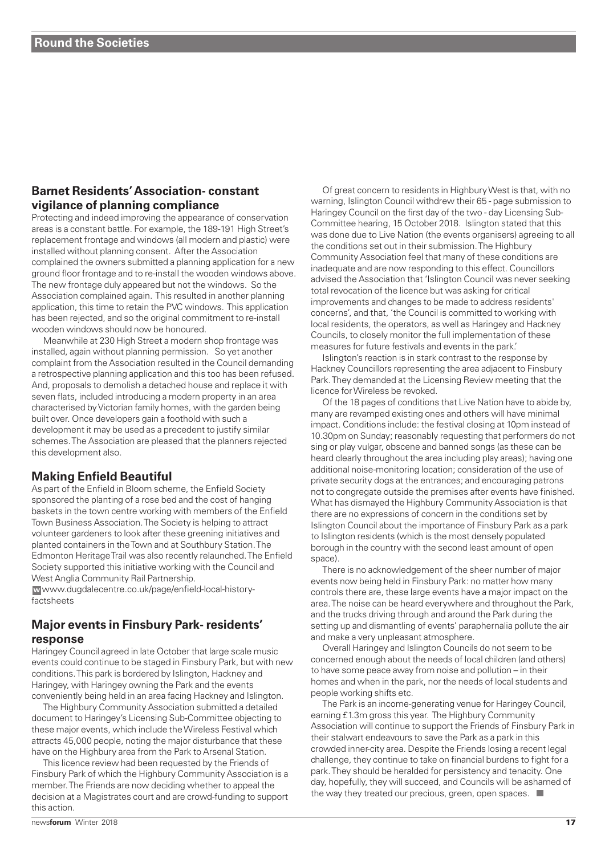### **Barnet Residents' Association- constant vigilance of planning compliance**

Protecting and indeed improving the appearance of conservation areas is a constant battle. For example, the 189-191 High Street's replacement frontage and windows (all modern and plastic) were installed without planning consent. After the Association complained the owners submitted a planning application for a new ground floor frontage and to re-install the wooden windows above. The new frontage duly appeared but not the windows. So the Association complained again. This resulted in another planning application, this time to retain the PVC windows. This application has been rejected, and so the original commitment to re-install wooden windows should now be honoured.

Meanwhile at 230 High Street a modern shop frontage was installed, again without planning permission. So yet another complaint from the Association resulted in the Council demanding a retrospective planning application and this too has been refused. And, proposals to demolish a detached house and replace it with seven flats, included introducing a modern property in an area characterised by Victorian family homes, with the garden being built over. Once developers gain a foothold with such a development it may be used as a precedent to justify similar schemes. The Association are pleased that the planners rejected this development also.

### **Making Enfield Beautiful**

As part of the Enfield in Bloom scheme, the Enfield Society sponsored the planting of a rose bed and the cost of hanging baskets in the town centre working with members of the Enfield Town Business Association. The Society is helping to attract volunteer gardeners to look after these greening initiatives and planted containers in the Town and at Southbury Station. The Edmonton Heritage Trail was also recently relaunched. The Enfield Society supported this initiative working with the Council and West Anglia Community Rail Partnership.

www.dugdalecentre.co.uk/page/enfield-local-history-**w**factsheets

### **Major events in Finsbury Park- residents' response**

Haringey Council agreed in late October that large scale music events could continue to be staged in Finsbury Park, but with new conditions. This park is bordered by Islington, Hackney and Haringey, with Haringey owning the Park and the events conveniently being held in an area facing Hackney and Islington.

The Highbury Community Association submitted a detailed document to Haringey's Licensing Sub-Committee objecting to these major events, which include the Wireless Festival which attracts 45,000 people, noting the major disturbance that these have on the Highbury area from the Park to Arsenal Station.

This licence review had been requested by the Friends of Finsbury Park of which the Highbury Community Association is a member. The Friends are now deciding whether to appeal the decision at a Magistrates court and are crowd-funding to support this action.

Of great concern to residents in Highbury West is that, with no warning, Islington Council withdrew their 65 - page submission to Haringey Council on the first day of the two - day Licensing Sub-Committee hearing, 15 October 2018. Islington stated that this was done due to Live Nation (the events organisers) agreeing to all the conditions set out in their submission. The Highbury Community Association feel that many of these conditions are inadequate and are now responding to this effect. Councillors advised the Association that 'Islington Council was never seeking total revocation of the licence but was asking for critical improvements and changes to be made to address residents' concerns', and that, 'the Council is committed to working with local residents, the operators, as well as Haringey and Hackney Councils, to closely monitor the full implementation of these measures for future festivals and events in the park.'

Islington's reaction is in stark contrast to the response by Hackney Councillors representing the area adjacent to Finsbury Park. They demanded at the Licensing Review meeting that the licence for Wireless be revoked.

Of the 18 pages of conditions that Live Nation have to abide by, many are revamped existing ones and others will have minimal impact. Conditions include: the festival closing at 10pm instead of 10.30pm on Sunday; reasonably requesting that performers do not sing or play vulgar, obscene and banned songs (as these can be heard clearly throughout the area including play areas); having one additional noise-monitoring location; consideration of the use of private security dogs at the entrances; and encouraging patrons not to congregate outside the premises after events have finished. What has dismayed the Highbury Community Association is that there are no expressions of concern in the conditions set by Islington Council about the importance of Finsbury Park as a park to Islington residents (which is the most densely populated borough in the country with the second least amount of open space).

There is no acknowledgement of the sheer number of major events now being held in Finsbury Park: no matter how many controls there are, these large events have a major impact on the area. The noise can be heard everywhere and throughout the Park, and the trucks driving through and around the Park during the setting up and dismantling of events' paraphernalia pollute the air and make a very unpleasant atmosphere.

Overall Haringey and Islington Councils do not seem to be concerned enough about the needs of local children (and others) to have some peace away from noise and pollution – in their homes and when in the park, nor the needs of local students and people working shifts etc.

The Park is an income-generating venue for Haringey Council, earning £1.3m gross this year. The Highbury Community Association will continue to support the Friends of Finsbury Park in their stalwart endeavours to save the Park as a park in this crowded inner-city area. Despite the Friends losing a recent legal challenge, they continue to take on financial burdens to fight for a park. They should be heralded for persistency and tenacity. One day, hopefully, they will succeed, and Councils will be ashamed of the way they treated our precious, green, open spaces.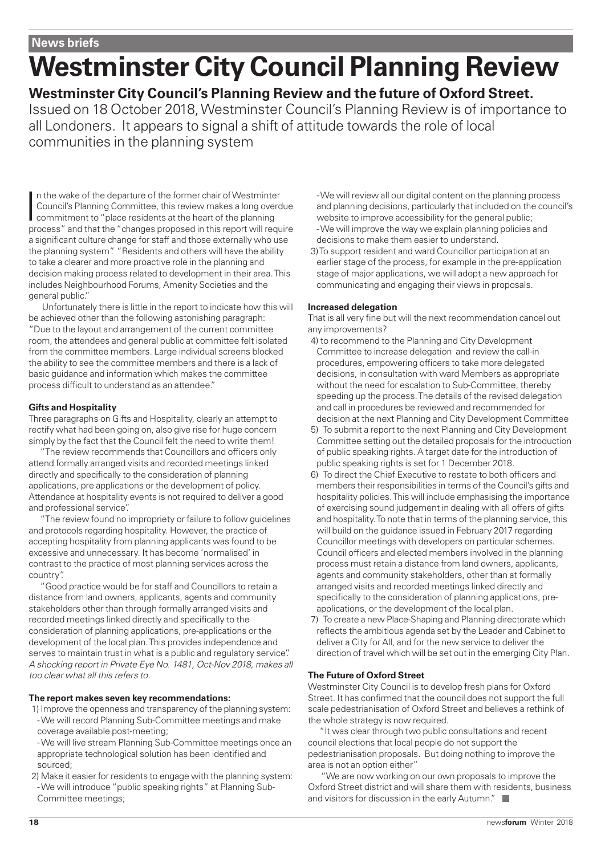#### **News briefs**

# **Westminster City Council Planning Review**

**Westminster City Council's Planning Review and the future of Oxford Street.** Issued on 18 October 2018, Westminster Council's Planning Review is of importance to all Londoners. It appears to signal a shift of attitude towards the role of local communities in the planning system

In the wake of the departure of the former chair of Westminter<br>Council's Planning Committee, this review makes a long overdue<br>commitment to "place residents at the heart of the planning<br>process" and that the "changes propo n the wake of the departure of the former chair of Westminter Council's Planning Committee, this review makes a long overdue commitment to "place residents at the heart of the planning a significant culture change for staff and those externally who use the planning system". "Residents and others will have the ability to take a clearer and more proactive role in the planning and decision making process related to development in their area. This includes Neighbourhood Forums, Amenity Societies and the general public."

Unfortunately there is little in the report to indicate how this will be achieved other than the following astonishing paragraph: "Due to the layout and arrangement of the current committee room, the attendees and general public at committee felt isolated from the committee members. Large individual screens blocked the ability to see the committee members and there is a lack of basic guidance and information which makes the committee process difficult to understand as an attendee."

#### **Gifts and Hospitality**

Three paragraphs on Gifts and Hospitality, clearly an attempt to rectify what had been going on, also give rise for huge concern simply by the fact that the Council felt the need to write them!

"The review recommends that Councillors and officers only attend formally arranged visits and recorded meetings linked directly and specifically to the consideration of planning applications, pre applications or the development of policy. Attendance at hospitality events is not required to deliver a good and professional service".

"The review found no impropriety or failure to follow guidelines and protocols regarding hospitality. However, the practice of accepting hospitality from planning applicants was found to be excessive and unnecessary. It has become 'normalised' in contrast to the practice of most planning services across the country".

"Good practice would be for staff and Councillors to retain a distance from land owners, applicants, agents and community stakeholders other than through formally arranged visits and recorded meetings linked directly and specifically to the consideration of planning applications, pre-applications or the development of the local plan. This provides independence and serves to maintain trust in what is a public and regulatory service". A shocking report in Private Eye No. 1481, Oct-Nov 2018, makes all too clear what all this refers to.

#### **The report makes seven key recommendations:**

- 1) Improve the openness and transparency of the planning system: - We will record Planning Sub-Committee meetings and make coverage available post-meeting;
- We will live stream Planning Sub-Committee meetings once an appropriate technological solution has been identified and sourced;
- 2) Make it easier for residents to engage with the planning system: - We will introduce "public speaking rights" at Planning Sub-Committee meetings;

- We will review all our digital content on the planning process and planning decisions, particularly that included on the council's website to improve accessibility for the general public; - We will improve the way we explain planning policies and decisions to make them easier to understand.

3) To support resident and ward Councillor participation at an earlier stage of the process, for example in the pre-application stage of major applications, we will adopt a new approach for communicating and engaging their views in proposals.

#### **Increased delegation**

That is all very fine but will the next recommendation cancel out any improvements?

- 4) to recommend to the Planning and City Development Committee to increase delegation and review the call-in procedures, empowering officers to take more delegated decisions, in consultation with ward Members as appropriate without the need for escalation to Sub-Committee, thereby speeding up the process. The details of the revised delegation and call in procedures be reviewed and recommended for decision at the next Planning and City Development Committee
- 5) To submit a report to the next Planning and City Development Committee setting out the detailed proposals for the introduction of public speaking rights. A target date for the introduction of public speaking rights is set for 1 December 2018.
- 6) To direct the Chief Executive to restate to both officers and members their responsibilities in terms of the Council's gifts and hospitality policies. This will include emphasising the importance of exercising sound judgement in dealing with all offers of gifts and hospitality. To note that in terms of the planning service, this will build on the guidance issued in February 2017 regarding Councillor meetings with developers on particular schemes. Council officers and elected members involved in the planning process must retain a distance from land owners, applicants, agents and community stakeholders, other than at formally arranged visits and recorded meetings linked directly and specifically to the consideration of planning applications, preapplications, or the development of the local plan.
- 7) To create a new Place-Shaping and Planning directorate which reflects the ambitious agenda set by the Leader and Cabinet to deliver a City for All, and for the new service to deliver the direction of travel which will be set out in the emerging City Plan.

#### **The Future of Oxford Street**

Westminster City Council is to develop fresh plans for Oxford Street. It has confirmed that the council does not support the full scale pedestrianisation of Oxford Street and believes a rethink of the whole strategy is now required.

"It was clear through two public consultations and recent council elections that local people do not support the pedestrianisation proposals. But doing nothing to improve the area is not an option either"

"We are now working on our own proposals to improve the Oxford Street district and will share them with residents, business and visitors for discussion in the early Autumn."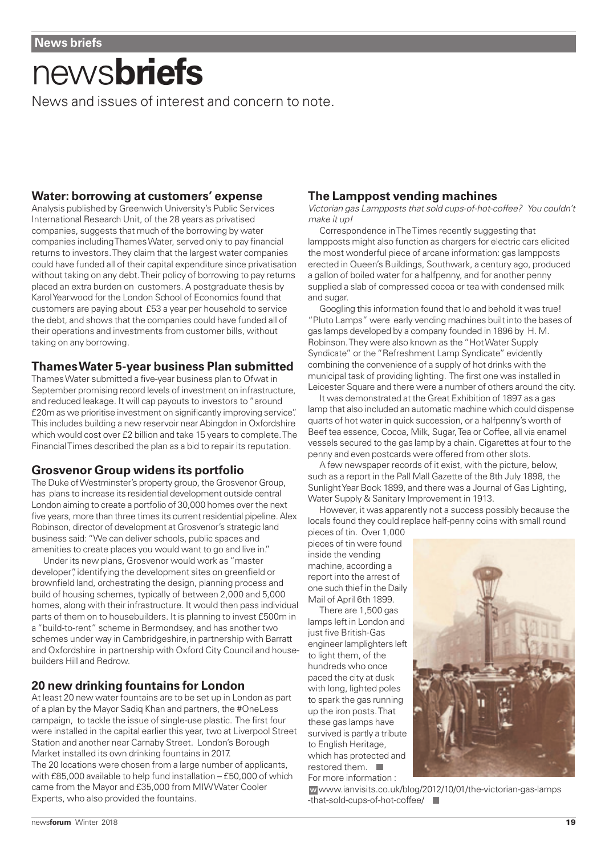# news**briefs**

News and issues of interest and concern to note.

### **Water: borrowing at customers' expense**

Analysis published by Greenwich University's Public Services International Research Unit, of the 28 years as privatised companies, suggests that much of the borrowing by water companies including Thames Water, served only to pay financial returns to investors. They claim that the largest water companies could have funded all of their capital expenditure since privatisation without taking on any debt. Their policy of borrowing to pay returns placed an extra burden on customers. A postgraduate thesis by Karol Yearwood for the London School of Economics found that customers are paying about £53 a year per household to service the debt, and shows that the companies could have funded all of their operations and investments from customer bills, without taking on any borrowing.

### **Thames Water 5-year business Plan submitted**

Thames Water submitted a five-year business plan to Ofwat in September promising record levels of investment on infrastructure, and reduced leakage. It will cap payouts to investors to "around £20m as we prioritise investment on significantly improving service". This includes building a new reservoir near Abingdon in Oxfordshire which would cost over £2 billion and take 15 years to complete. The Financial Times described the plan as a bid to repair its reputation.

# **Grosvenor Group widens its portfolio**

The Duke of Westminster's property group, the Grosvenor Group, has plans to increase its residential development outside central London aiming to create a portfolio of 30,000 homes over the next five years, more than three times its current residential pipeline. Alex Robinson, director of development at Grosvenor's strategic land business said: "We can deliver schools, public spaces and amenities to create places you would want to go and live in."

Under its new plans, Grosvenor would work as "master developer", identifying the development sites on greenfield or brownfield land, orchestrating the design, planning process and build of housing schemes, typically of between 2,000 and 5,000 homes, along with their infrastructure. It would then pass individual parts of them on to housebuilders. It is planning to invest £500m in a "build-to-rent" scheme in Bermondsey, and has another two schemes under way in Cambridgeshire, in partnership with Barratt and Oxfordshire in partnership with Oxford City Council and housebuilders Hill and Redrow.

# **20 new drinking fountains for London**

At least 20 new water fountains are to be set up in London as part of a plan by the Mayor Sadiq Khan and partners, the #OneLess campaign, to tackle the issue of single-use plastic. The first four were installed in the capital earlier this year, two at Liverpool Street Station and another near Carnaby Street. London's Borough Market installed its own drinking fountains in 2017. The 20 locations were chosen from a large number of applicants, with £85,000 available to help fund installation – £50,000 of which came from the Mayor and £35,000 from MIW Water Cooler Experts, who also provided the fountains.

### **The Lamppost vending machines**

Victorian gas Lampposts that sold cups-of-hot-coffee? You couldn't make it up!

Correspondence in The Times recently suggesting that lampposts might also function as chargers for electric cars elicited the most wonderful piece of arcane information: gas lampposts erected in Queen's Buildings, Southwark, a century ago, produced a gallon of boiled water for a halfpenny, and for another penny supplied a slab of compressed cocoa or tea with condensed milk and sugar.

Googling this information found that lo and behold it was true! "Pluto Lamps" were early vending machines built into the bases of gas lamps developed by a company founded in 1896 by H. M. Robinson. They were also known as the "Hot Water Supply Syndicate" or the "Refreshment Lamp Syndicate" evidently combining the convenience of a supply of hot drinks with the municipal task of providing lighting. The first one was installed in Leicester Square and there were a number of others around the city.

It was demonstrated at the Great Exhibition of 1897 as a gas lamp that also included an automatic machine which could dispense quarts of hot water in quick succession, or a halfpenny's worth of Beef tea essence, Cocoa, Milk, Sugar, Tea or Coffee, all via enamel vessels secured to the gas lamp by a chain. Cigarettes at four to the penny and even postcards were offered from other slots.

A few newspaper records of it exist, with the picture, below, such as a report in the Pall Mall Gazette of the 8th July 1898, the Sunlight Year Book 1899, and there was a Journal of Gas Lighting, Water Supply & Sanitary Improvement in 1913.

However, it was apparently not a success possibly because the locals found they could replace half-penny coins with small round

pieces of tin. Over 1,000 pieces of tin were found inside the vending machine, according a report into the arrest of one such thief in the Daily Mail of April 6th 1899.

There are 1,500 gas lamps left in London and just five British-Gas engineer lamplighters left to light them, of the hundreds who once paced the city at dusk with long, lighted poles to spark the gas running up the iron posts. That these gas lamps have survived is partly a tribute to English Heritage, which has protected and restored them.  $\blacksquare$ For more information :



www.ianvisits.co.uk/blog/2012/10/01/the-victorian-gas-lamps **w** -that-sold-cups-of-hot-coffee/